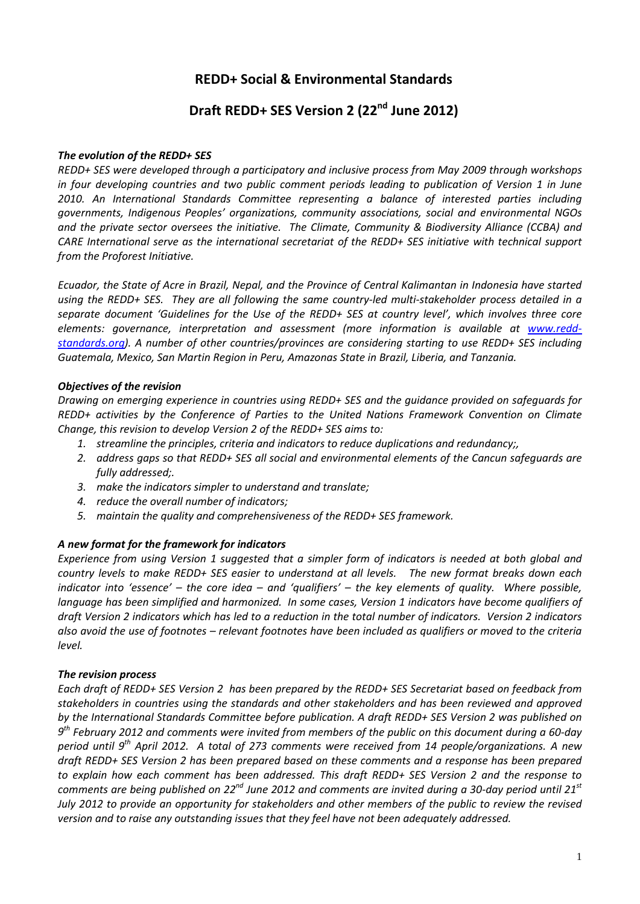# **REDD+ Social & Environmental Standards**

# **Draft REDD+ SES Version 2 (22nd June 2012)**

#### *The evolution of the REDD+ SES*

*REDD+ SES were developed through a participatory and inclusive process from May 2009 through workshops in four developing countries and two public comment periods leading to publication of Version 1 in June 2010. An International Standards Committee representing a balance of interested parties including governments, Indigenous Peoples' organizations, community associations, social and environmental NGOs and the private sector oversees the initiative. The Climate, Community & Biodiversity Alliance (CCBA) and CARE International serve as the international secretariat of the REDD+ SES initiative with technical support from the Proforest Initiative.*

*Ecuador, the State of Acre in Brazil, Nepal, and the Province of Central Kalimantan in Indonesia have started using the REDD+ SES. They are all following the same country-led multi-stakeholder process detailed in a separate document 'Guidelines for the Use of the REDD+ SES at country level', which involves three core elements: governance, interpretation and assessment (more information is available at [www.redd](http://www.redd-standards.org/)[standards.org\)](http://www.redd-standards.org/). A number of other countries/provinces are considering starting to use REDD+ SES including Guatemala, Mexico, San Martin Region in Peru, Amazonas State in Brazil, Liberia, and Tanzania.* 

#### *Objectives of the revision*

*Drawing on emerging experience in countries using REDD+ SES and the guidance provided on safeguards for REDD+ activities by the Conference of Parties to the United Nations Framework Convention on Climate Change, this revision to develop Version 2 of the REDD+ SES aims to:*

- *1. streamline the principles, criteria and indicators to reduce duplications and redundancy;,*
- *2. address gaps so that REDD+ SES all social and environmental elements of the Cancun safeguards are fully addressed;.*
- *3. make the indicators simpler to understand and translate;*
- *4. reduce the overall number of indicators;*
- *5. maintain the quality and comprehensiveness of the REDD+ SES framework.*

# *A new format for the framework for indicators*

*Experience from using Version 1 suggested that a simpler form of indicators is needed at both global and country levels to make REDD+ SES easier to understand at all levels. The new format breaks down each indicator into 'essence' – the core idea – and 'qualifiers' – the key elements of quality. Where possible, language has been simplified and harmonized. In some cases, Version 1 indicators have become qualifiers of draft Version 2 indicators which has led to a reduction in the total number of indicators. Version 2 indicators also avoid the use of footnotes – relevant footnotes have been included as qualifiers or moved to the criteria level.*

# *The revision process*

<span id="page-0-0"></span>*Each draft of REDD+ SES Version 2 has been prepared by the REDD+ SES Secretariat based on feedback from stakeholders in countries using the standards and other stakeholders and has been reviewed and approved by the International Standards Committee before publication. A draft REDD+ SES Version 2 was published on 9th February 2012 and comments were invited from members of the public on this document during a 60-day period until 9th April 2012. A total of 273 comments were received from 14 people/organizations. A new draft REDD+ SES Version 2 has been prepared based on these comments and a response has been prepared to explain how each comment has been addressed. This draft REDD+ SES Version 2 and the response to comments are being published on 22nd June 2012 and comments are invited during a 30-day period until 21st July 2012 to provide an opportunity for stakeholders and other members of the public to review the revised version and to raise any outstanding issues that they feel have not been adequately addressed.*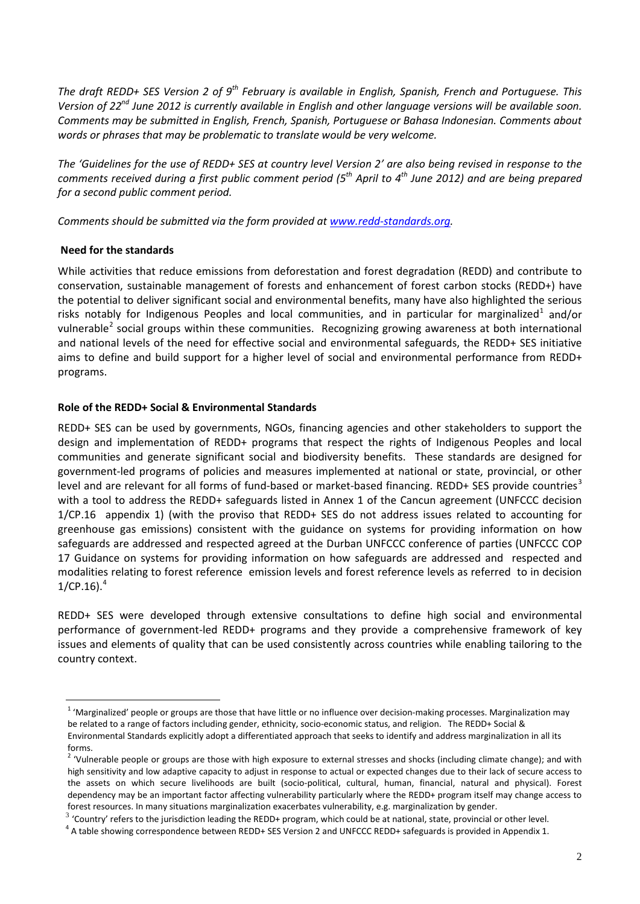*The draft REDD+ SES Version 2 of 9th February is available in English, Spanish, French and Portuguese. This Version of 22<sup>nd</sup> June 2012 is currently available in English and other language versions will be available soon. Comments may be submitted in English, French, Spanish, Portuguese or Bahasa Indonesian. Comments about words or phrases that may be problematic to translate would be very welcome.*

*The 'Guidelines for the use of REDD+ SES at country level Version 2' are also being revised in response to the comments received during a first public comment period (5th April to 4th June 2012) and are being prepared for a second public comment period.*

*Comments should be submitted via the form provided at [www.redd-standards.org.](http://www.redd-standards.org/)*

#### **Need for the standards**

While activities that reduce emissions from deforestation and forest degradation (REDD) and contribute to conservation, sustainable management of forests and enhancement of forest carbon stocks (REDD+) have the potential to deliver significant social and environmental benefits, many have also highlighted the serious risks notably for Indigenous Peoples and local communities, and in particular for marginalized<sup>[1](#page-0-0)</sup> and/or vulnerable<sup>[2](#page-1-0)</sup> social groups within these communities. Recognizing growing awareness at both international and national levels of the need for effective social and environmental safeguards, the REDD+ SES initiative aims to define and build support for a higher level of social and environmental performance from REDD+ programs.

#### **Role of the REDD+ Social & Environmental Standards**

REDD+ SES can be used by governments, NGOs, financing agencies and other stakeholders to support the design and implementation of REDD+ programs that respect the rights of Indigenous Peoples and local communities and generate significant social and biodiversity benefits. These standards are designed for government-led programs of policies and measures implemented at national or state, provincial, or other level and are relevant for all forms of fund-based or market-based financing. REDD+ SES provide countries<sup>[3](#page-1-1)</sup> with a tool to address the REDD+ safeguards listed in Annex 1 of the Cancun agreement (UNFCCC decision 1/CP.16 appendix 1) (with the proviso that REDD+ SES do not address issues related to accounting for greenhouse gas emissions) consistent with the guidance on systems for providing information on how safeguards are addressed and respected agreed at the Durban UNFCCC conference of parties (UNFCCC COP 17 Guidance on systems for providing information on how safeguards are addressed and respected and modalities relating to forest reference emission levels and forest reference levels as referred to in decision  $1/CP.16$ ). $4$ 

REDD+ SES were developed through extensive consultations to define high social and environmental performance of government-led REDD+ programs and they provide a comprehensive framework of key issues and elements of quality that can be used consistently across countries while enabling tailoring to the country context.

 $1$  'Marginalized' people or groups are those that have little or no influence over decision-making processes. Marginalization may be related to a range of factors including gender, ethnicity, socio-economic status, and religion. The REDD+ Social & Environmental Standards explicitly adopt a differentiated approach that seeks to identify and address marginalization in all its forms.

<span id="page-1-0"></span><sup>&</sup>lt;sup>2</sup> 'Vulnerable people or groups are those with high exposure to external stresses and shocks (including climate change); and with high sensitivity and low adaptive capacity to adjust in response to actual or expected changes due to their lack of secure access to the assets on which secure livelihoods are built (socio-political, cultural, human, financial, natural and physical). Forest dependency may be an important factor affecting vulnerability particularly where the REDD+ program itself may change access to forest resources. In many situations marginalization exacerbates vulnerability, e.g. marginalization by gender.

<span id="page-1-3"></span><span id="page-1-1"></span> $3$  'Country' refers to the jurisdiction leading the REDD+ program, which could be at national, state, provincial or other level.<br> $4$  A table showing correspondence between REDD+ SES Version 2 and UNFCCC REDD+ safeguards

<span id="page-1-2"></span>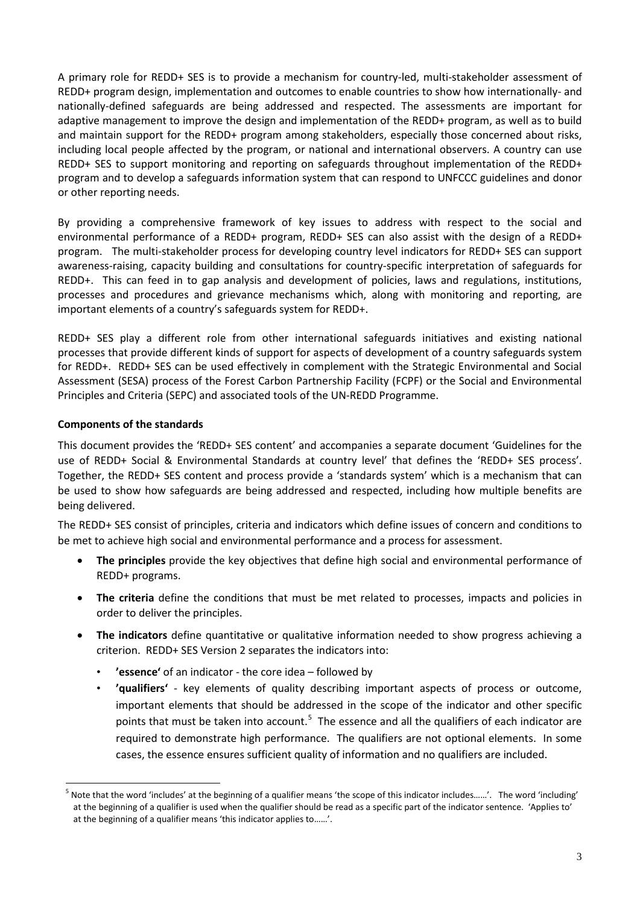A primary role for REDD+ SES is to provide a mechanism for country-led, multi-stakeholder assessment of REDD+ program design, implementation and outcomes to enable countries to show how internationally- and nationally-defined safeguards are being addressed and respected. The assessments are important for adaptive management to improve the design and implementation of the REDD+ program, as well as to build and maintain support for the REDD+ program among stakeholders, especially those concerned about risks, including local people affected by the program, or national and international observers. A country can use REDD+ SES to support monitoring and reporting on safeguards throughout implementation of the REDD+ program and to develop a safeguards information system that can respond to UNFCCC guidelines and donor or other reporting needs.

By providing a comprehensive framework of key issues to address with respect to the social and environmental performance of a REDD+ program, REDD+ SES can also assist with the design of a REDD+ program. The multi-stakeholder process for developing country level indicators for REDD+ SES can support awareness-raising, capacity building and consultations for country-specific interpretation of safeguards for REDD+. This can feed in to gap analysis and development of policies, laws and regulations, institutions, processes and procedures and grievance mechanisms which, along with monitoring and reporting, are important elements of a country's safeguards system for REDD+.

REDD+ SES play a different role from other international safeguards initiatives and existing national processes that provide different kinds of support for aspects of development of a country safeguards system for REDD+. REDD+ SES can be used effectively in complement with the Strategic Environmental and Social Assessment (SESA) process of the Forest Carbon Partnership Facility (FCPF) or the Social and Environmental Principles and Criteria (SEPC) and associated tools of the UN-REDD Programme.

# **Components of the standards**

This document provides the 'REDD+ SES content' and accompanies a separate document 'Guidelines for the use of REDD+ Social & Environmental Standards at country level' that defines the 'REDD+ SES process'. Together, the REDD+ SES content and process provide a 'standards system' which is a mechanism that can be used to show how safeguards are being addressed and respected, including how multiple benefits are being delivered.

<span id="page-2-0"></span>The REDD+ SES consist of principles, criteria and indicators which define issues of concern and conditions to be met to achieve high social and environmental performance and a process for assessment.

- **The principles** provide the key objectives that define high social and environmental performance of REDD+ programs.
- **The criteria** define the conditions that must be met related to processes, impacts and policies in order to deliver the principles.
- **The indicators** define quantitative or qualitative information needed to show progress achieving a criterion. REDD+ SES Version 2 separates the indicators into:
	- **'essence'** of an indicator the core idea followed by
	- **'qualifiers'** key elements of quality describing important aspects of process or outcome, important elements that should be addressed in the scope of the indicator and other specific points that must be taken into account.<sup>[5](#page-1-3)</sup> The essence and all the qualifiers of each indicator are required to demonstrate high performance. The qualifiers are not optional elements. In some cases, the essence ensures sufficient quality of information and no qualifiers are included.

<sup>5</sup> Note that the word 'includes' at the beginning of a qualifier means 'the scope of this indicator includes……'. The word 'including' at the beginning of a qualifier is used when the qualifier should be read as a specific part of the indicator sentence. 'Applies to' at the beginning of a qualifier means 'this indicator applies to……'.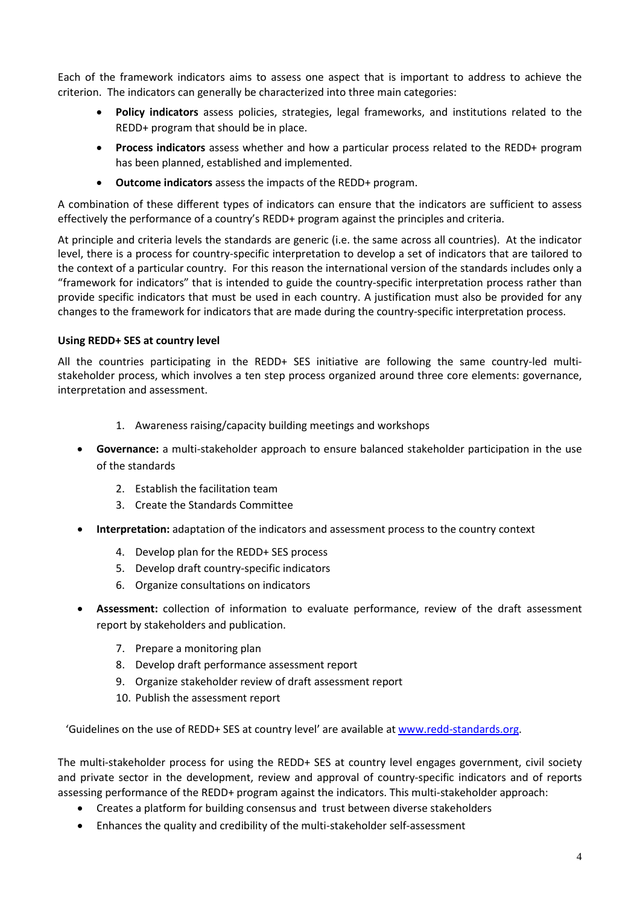Each of the framework indicators aims to assess one aspect that is important to address to achieve the criterion. The indicators can generally be characterized into three main categories:

- **Policy indicators** assess policies, strategies, legal frameworks, and institutions related to the REDD+ program that should be in place.
- **Process indicators** assess whether and how a particular process related to the REDD+ program has been planned, established and implemented.
- **Outcome indicators** assess the impacts of the REDD+ program.

A combination of these different types of indicators can ensure that the indicators are sufficient to assess effectively the performance of a country's REDD+ program against the principles and criteria.

At principle and criteria levels the standards are generic (i.e. the same across all countries). At the indicator level, there is a process for country-specific interpretation to develop a set of indicators that are tailored to the context of a particular country. For this reason the international version of the standards includes only a "framework for indicators" that is intended to guide the country-specific interpretation process rather than provide specific indicators that must be used in each country. A justification must also be provided for any changes to the framework for indicators that are made during the country-specific interpretation process.

#### **Using REDD+ SES at country level**

All the countries participating in the REDD+ SES initiative are following the same country-led multistakeholder process, which involves a ten step process organized around three core elements: governance, interpretation and assessment.

- 1. Awareness raising/capacity building meetings and workshops
- **Governance:** a multi-stakeholder approach to ensure balanced stakeholder participation in the use of the standards
	- 2. Establish the facilitation team
	- 3. Create the Standards Committee
- **Interpretation:** adaptation of the indicators and assessment process to the country context
	- 4. Develop plan for the REDD+ SES process
	- 5. Develop draft country-specific indicators
	- 6. Organize consultations on indicators
- **Assessment:** collection of information to evaluate performance, review of the draft assessment report by stakeholders and publication.
	- 7. Prepare a monitoring plan
	- 8. Develop draft performance assessment report
	- 9. Organize stakeholder review of draft assessment report
	- 10. Publish the assessment report

'Guidelines on the use of REDD+ SES at country level' are available a[t www.redd-standards.org.](http://www.redd-standards.org/)

The multi-stakeholder process for using the REDD+ SES at country level engages government, civil society and private sector in the development, review and approval of country-specific indicators and of reports assessing performance of the REDD+ program against the indicators. This multi-stakeholder approach:

- Creates a platform for building consensus and trust between diverse stakeholders
- Enhances the quality and credibility of the multi-stakeholder self-assessment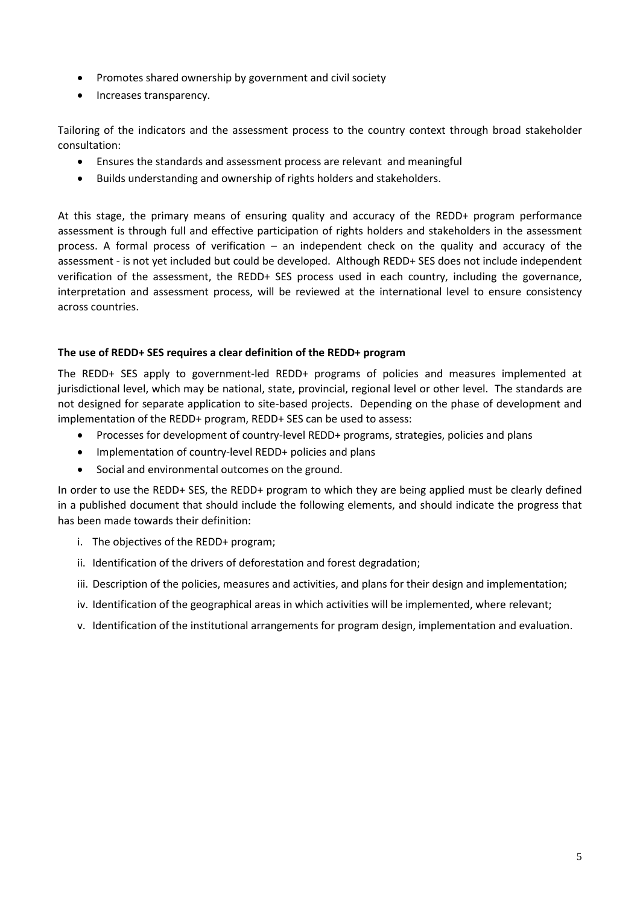- Promotes shared ownership by government and civil society
- Increases transparency.

Tailoring of the indicators and the assessment process to the country context through broad stakeholder consultation:

- Ensures the standards and assessment process are relevant and meaningful
- Builds understanding and ownership of rights holders and stakeholders.

At this stage, the primary means of ensuring quality and accuracy of the REDD+ program performance assessment is through full and effective participation of rights holders and stakeholders in the assessment process. A formal process of verification – an independent check on the quality and accuracy of the assessment - is not yet included but could be developed. Although REDD+ SES does not include independent verification of the assessment, the REDD+ SES process used in each country, including the governance, interpretation and assessment process, will be reviewed at the international level to ensure consistency across countries.

#### **The use of REDD+ SES requires a clear definition of the REDD+ program**

The REDD+ SES apply to government-led REDD+ programs of policies and measures implemented at jurisdictional level, which may be national, state, provincial, regional level or other level. The standards are not designed for separate application to site-based projects. Depending on the phase of development and implementation of the REDD+ program, REDD+ SES can be used to assess:

- Processes for development of country-level REDD+ programs, strategies, policies and plans
- Implementation of country-level REDD+ policies and plans
- Social and environmental outcomes on the ground.

In order to use the REDD+ SES, the REDD+ program to which they are being applied must be clearly defined in a published document that should include the following elements, and should indicate the progress that has been made towards their definition:

- i. The objectives of the REDD+ program;
- ii. Identification of the drivers of deforestation and forest degradation;
- iii. Description of the policies, measures and activities, and plans for their design and implementation;
- iv. Identification of the geographical areas in which activities will be implemented, where relevant;
- v. Identification of the institutional arrangements for program design, implementation and evaluation.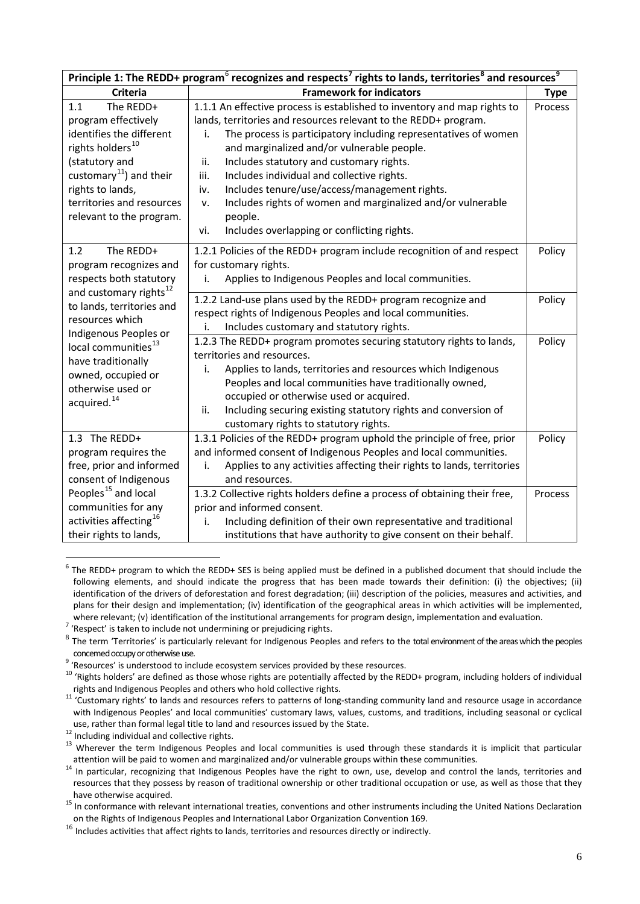| Principle 1: The REDD+ program <sup>6</sup> recognizes and respects <sup>7</sup> rights to lands, territories <sup>8</sup> and resources <sup>9</sup> |                                                                              |             |  |
|-------------------------------------------------------------------------------------------------------------------------------------------------------|------------------------------------------------------------------------------|-------------|--|
| <b>Criteria</b>                                                                                                                                       | <b>Framework for indicators</b>                                              | <b>Type</b> |  |
| The REDD+<br>1.1                                                                                                                                      | 1.1.1 An effective process is established to inventory and map rights to     | Process     |  |
| program effectively                                                                                                                                   | lands, territories and resources relevant to the REDD+ program.              |             |  |
| identifies the different                                                                                                                              | The process is participatory including representatives of women<br>i.        |             |  |
| rights holders <sup>10</sup>                                                                                                                          | and marginalized and/or vulnerable people.                                   |             |  |
| (statutory and                                                                                                                                        | Includes statutory and customary rights.<br>ii.                              |             |  |
| customary <sup>11</sup> ) and their                                                                                                                   | Includes individual and collective rights.<br>iii.                           |             |  |
| rights to lands,                                                                                                                                      | Includes tenure/use/access/management rights.<br>iv.                         |             |  |
| territories and resources                                                                                                                             | Includes rights of women and marginalized and/or vulnerable<br>v.            |             |  |
| relevant to the program.                                                                                                                              | people.                                                                      |             |  |
|                                                                                                                                                       | Includes overlapping or conflicting rights.<br>vi.                           |             |  |
| The REDD+<br>1.2                                                                                                                                      | 1.2.1 Policies of the REDD+ program include recognition of and respect       | Policy      |  |
| program recognizes and                                                                                                                                | for customary rights.                                                        |             |  |
| respects both statutory                                                                                                                               | Applies to Indigenous Peoples and local communities.                         |             |  |
| and customary rights <sup>12</sup>                                                                                                                    | 1.2.2 Land-use plans used by the REDD+ program recognize and                 | Policy      |  |
| to lands, territories and                                                                                                                             | respect rights of Indigenous Peoples and local communities.                  |             |  |
| resources which                                                                                                                                       | Includes customary and statutory rights.<br>i.                               |             |  |
| Indigenous Peoples or<br>local communities <sup>13</sup>                                                                                              | 1.2.3 The REDD+ program promotes securing statutory rights to lands,         | Policy      |  |
| have traditionally                                                                                                                                    | territories and resources.                                                   |             |  |
| owned, occupied or                                                                                                                                    | Applies to lands, territories and resources which Indigenous<br>i.           |             |  |
| otherwise used or                                                                                                                                     | Peoples and local communities have traditionally owned,                      |             |  |
| acquired. <sup>14</sup>                                                                                                                               | occupied or otherwise used or acquired.                                      |             |  |
|                                                                                                                                                       | Including securing existing statutory rights and conversion of<br>ii.        |             |  |
|                                                                                                                                                       | customary rights to statutory rights.                                        |             |  |
| 1.3 The REDD+                                                                                                                                         | 1.3.1 Policies of the REDD+ program uphold the principle of free, prior      | Policy      |  |
| program requires the                                                                                                                                  | and informed consent of Indigenous Peoples and local communities.            |             |  |
| free, prior and informed                                                                                                                              | Applies to any activities affecting their rights to lands, territories<br>i. |             |  |
| consent of Indigenous                                                                                                                                 | and resources.                                                               |             |  |
| Peoples <sup>15</sup> and local                                                                                                                       | 1.3.2 Collective rights holders define a process of obtaining their free,    | Process     |  |
| communities for any                                                                                                                                   | prior and informed consent.                                                  |             |  |
| activities affecting <sup>16</sup>                                                                                                                    | Including definition of their own representative and traditional             |             |  |
| their rights to lands,                                                                                                                                | institutions that have authority to give consent on their behalf.            |             |  |

 $6$  The REDD+ program to which the REDD+ SES is being applied must be defined in a published document that should include the following elements, and should indicate the progress that has been made towards their definition: (i) the objectives; (ii) identification of the drivers of deforestation and forest degradation; (iii) description of the policies, measures and activities, and plans for their design and implementation; (iv) identification of the geographical areas in which activities will be implemented, where relevant; (v) identification of the institutional arrangements for program design, implementation and evaluation.<br><sup>7</sup> 'Respect' is taken to include not undermining or prejudicing rights.

<span id="page-5-0"></span>

<span id="page-5-1"></span> $8$  The term 'Territories' is particularly relevant for Indigenous Peoples and refers to the total environment of the areas which the peoples

<span id="page-5-3"></span>

<span id="page-5-2"></span>concemed occupy or otherwise use.<br>
<sup>9</sup> 'Resources' is understood to include ecosystem services provided by these resources.<br>
<sup>9</sup> 'Rights holders' are defined as those whose rights are potentially affected by the REDD+ prog

<span id="page-5-4"></span>rights and indigenous Peoples and others who hold collective rights. 11 'Customary rights' to lands and resources refers to patterns of long-standing community land and resource usage in accordance with Indigenous Peoples' and local communities' customary laws, values, customs, and traditions, including seasonal or cyclical

<span id="page-5-5"></span>use, rather than formal legal title to land and resources issued by the State.<br>
<sup>12</sup> Including individual and collective rights.<br>
<sup>13</sup> Wherever the term Indigenous Peoples and local communities is used through these stand

<span id="page-5-7"></span><span id="page-5-6"></span>attention will be paid to women and marginalized and/or vulnerable groups within these communities.<br><sup>14</sup> In particular, recognizing that Indigenous Peoples have the right to own, use, develop and control the lands, territ resources that they possess by reason of traditional ownership or other traditional occupation or use, as well as those that they

<span id="page-5-10"></span><span id="page-5-8"></span>have otherwise acquired.<br><sup>15</sup> In conformance with relevant international treaties, conventions and other instruments including the United Nations Declaration on the Rights of Indigenous Peoples and International Labor Organization Convention 169.

<span id="page-5-9"></span><sup>&</sup>lt;sup>16</sup> Includes activities that affect rights to lands, territories and resources directly or indirectly.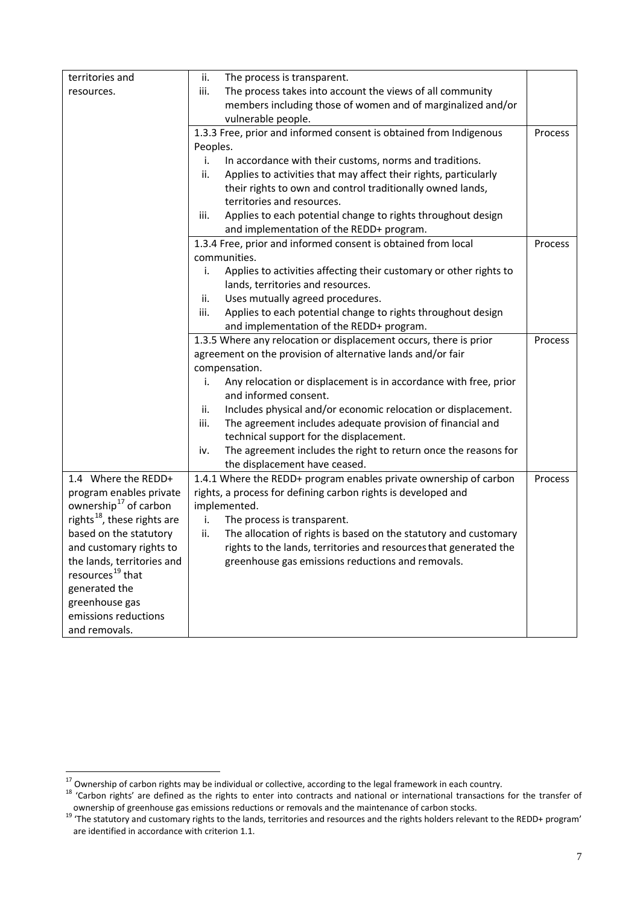| territories and                         | The process is transparent.<br>ii.                                       |         |
|-----------------------------------------|--------------------------------------------------------------------------|---------|
| resources.                              | The process takes into account the views of all community<br>iii.        |         |
|                                         | members including those of women and of marginalized and/or              |         |
|                                         | vulnerable people.                                                       |         |
|                                         | 1.3.3 Free, prior and informed consent is obtained from Indigenous       | Process |
|                                         | Peoples.                                                                 |         |
|                                         | In accordance with their customs, norms and traditions.<br>i.            |         |
|                                         | Applies to activities that may affect their rights, particularly<br>ii.  |         |
|                                         | their rights to own and control traditionally owned lands,               |         |
|                                         | territories and resources.                                               |         |
|                                         | Applies to each potential change to rights throughout design<br>iii.     |         |
|                                         | and implementation of the REDD+ program.                                 |         |
|                                         | 1.3.4 Free, prior and informed consent is obtained from local            | Process |
|                                         | communities.                                                             |         |
|                                         | Applies to activities affecting their customary or other rights to<br>i. |         |
|                                         | lands, territories and resources.                                        |         |
|                                         | Uses mutually agreed procedures.<br>ii.                                  |         |
|                                         | Applies to each potential change to rights throughout design<br>iii.     |         |
|                                         | and implementation of the REDD+ program.                                 |         |
|                                         | 1.3.5 Where any relocation or displacement occurs, there is prior        | Process |
|                                         | agreement on the provision of alternative lands and/or fair              |         |
|                                         | compensation.                                                            |         |
|                                         | Any relocation or displacement is in accordance with free, prior<br>i.   |         |
|                                         | and informed consent.                                                    |         |
|                                         | Includes physical and/or economic relocation or displacement.<br>ii.     |         |
|                                         | The agreement includes adequate provision of financial and<br>iii.       |         |
|                                         | technical support for the displacement.                                  |         |
|                                         | The agreement includes the right to return once the reasons for<br>iv.   |         |
|                                         | the displacement have ceased.                                            |         |
| 1.4 Where the REDD+                     | 1.4.1 Where the REDD+ program enables private ownership of carbon        | Process |
| program enables private                 | rights, a process for defining carbon rights is developed and            |         |
| ownership <sup>17</sup> of carbon       | implemented.                                                             |         |
| rights <sup>18</sup> , these rights are | The process is transparent.<br>i.                                        |         |
| based on the statutory                  | The allocation of rights is based on the statutory and customary<br>ii.  |         |
| and customary rights to                 | rights to the lands, territories and resources that generated the        |         |
| the lands, territories and              | greenhouse gas emissions reductions and removals.                        |         |
| resources <sup>19</sup> that            |                                                                          |         |
| generated the                           |                                                                          |         |
| greenhouse gas                          |                                                                          |         |
| emissions reductions                    |                                                                          |         |
| and removals.                           |                                                                          |         |

<span id="page-6-2"></span><span id="page-6-0"></span><sup>&</sup>lt;sup>17</sup> Ownership of carbon rights may be individual or collective, according to the legal framework in each country.<br><sup>18</sup> 'Carbon rights' are defined as the rights to enter into contracts and national or international trans

<span id="page-6-1"></span><sup>&</sup>lt;sup>19</sup> The statutory and customary rights to the lands, territories and resources and the rights holders relevant to the REDD+ program' are identified in accordance with criterion 1.1.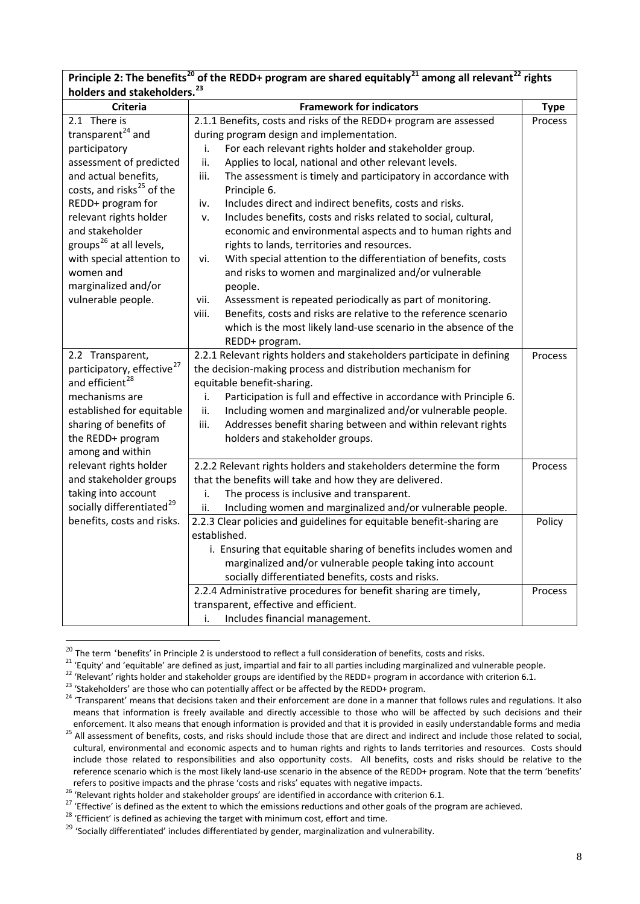| holders and stakeholders. <sup>23</sup>                       | Principle 2. The benefits Tor the NEDD+ program are shared equitably Tamong an relevant Tights                 |                        |  |
|---------------------------------------------------------------|----------------------------------------------------------------------------------------------------------------|------------------------|--|
| <b>Criteria</b><br><b>Framework for indicators</b>            |                                                                                                                |                        |  |
| 2.1 There is                                                  |                                                                                                                | <b>Type</b><br>Process |  |
| transparent <sup>24</sup> and                                 | 2.1.1 Benefits, costs and risks of the REDD+ program are assessed<br>during program design and implementation. |                        |  |
|                                                               |                                                                                                                |                        |  |
| participatory                                                 | For each relevant rights holder and stakeholder group.<br>i.                                                   |                        |  |
| assessment of predicted                                       | Applies to local, national and other relevant levels.<br>ii.                                                   |                        |  |
| and actual benefits,<br>costs, and risks <sup>25</sup> of the | iii.<br>The assessment is timely and participatory in accordance with<br>Principle 6.                          |                        |  |
| REDD+ program for                                             | Includes direct and indirect benefits, costs and risks.<br>iv.                                                 |                        |  |
| relevant rights holder                                        | Includes benefits, costs and risks related to social, cultural,<br>v.                                          |                        |  |
| and stakeholder                                               | economic and environmental aspects and to human rights and                                                     |                        |  |
| groups <sup>26</sup> at all levels,                           | rights to lands, territories and resources.                                                                    |                        |  |
| with special attention to                                     |                                                                                                                |                        |  |
|                                                               | With special attention to the differentiation of benefits, costs<br>vi.                                        |                        |  |
| women and                                                     | and risks to women and marginalized and/or vulnerable                                                          |                        |  |
| marginalized and/or                                           | people.                                                                                                        |                        |  |
| vulnerable people.                                            | Assessment is repeated periodically as part of monitoring.<br>vii.                                             |                        |  |
|                                                               | Benefits, costs and risks are relative to the reference scenario<br>viii.                                      |                        |  |
|                                                               | which is the most likely land-use scenario in the absence of the                                               |                        |  |
|                                                               | REDD+ program.                                                                                                 |                        |  |
| 2.2 Transparent,                                              | 2.2.1 Relevant rights holders and stakeholders participate in defining                                         | Process                |  |
| participatory, effective <sup>27</sup>                        | the decision-making process and distribution mechanism for                                                     |                        |  |
| and efficient <sup>28</sup>                                   | equitable benefit-sharing.                                                                                     |                        |  |
| mechanisms are                                                | Participation is full and effective in accordance with Principle 6.<br>i.                                      |                        |  |
| established for equitable                                     | Including women and marginalized and/or vulnerable people.<br>ii.                                              |                        |  |
| sharing of benefits of                                        | Addresses benefit sharing between and within relevant rights<br>iii.                                           |                        |  |
| the REDD+ program                                             | holders and stakeholder groups.                                                                                |                        |  |
| among and within                                              |                                                                                                                |                        |  |
| relevant rights holder                                        | 2.2.2 Relevant rights holders and stakeholders determine the form                                              | Process                |  |
| and stakeholder groups                                        | that the benefits will take and how they are delivered.                                                        |                        |  |
| taking into account                                           | The process is inclusive and transparent.<br>i.                                                                |                        |  |
| socially differentiated <sup>29</sup>                         | ii.<br>Including women and marginalized and/or vulnerable people.                                              |                        |  |
| benefits, costs and risks.                                    | 2.2.3 Clear policies and guidelines for equitable benefit-sharing are                                          | Policy                 |  |
|                                                               | established.                                                                                                   |                        |  |
|                                                               | i. Ensuring that equitable sharing of benefits includes women and                                              |                        |  |
|                                                               | marginalized and/or vulnerable people taking into account                                                      |                        |  |
|                                                               | socially differentiated benefits, costs and risks.                                                             |                        |  |
|                                                               | 2.2.4 Administrative procedures for benefit sharing are timely,                                                | Process                |  |
|                                                               | transparent, effective and efficient.                                                                          |                        |  |
|                                                               | Includes financial management.<br>i.                                                                           |                        |  |

**Principle 2: The benefits<sup>[20](#page-6-2)</sup> of the PEDD+ program are shared equitably**<sup>[21](#page-7-0)</sup> among all relevant<sup>[22](#page-7-1)</sup> rights

<span id="page-7-0"></span>

<span id="page-7-1"></span>

<span id="page-7-3"></span><span id="page-7-2"></span>

<sup>&</sup>lt;sup>20</sup> The term 'benefits' in Principle 2 is understood to reflect a full consideration of benefits, costs and risks.<br><sup>21</sup> 'Equity' and 'equitable' are defined as just, impartial and fair to all parties including marginaliz means that information is freely available and directly accessible to those who will be affected by such decisions and their enforcement. It also means that enough information is provided and that it is provided in easily understandable forms and media  $^{25}$  All assessment of benefits, costs, and risks should include those that are direct and

<span id="page-7-9"></span><span id="page-7-4"></span>cultural, environmental and economic aspects and to human rights and rights to lands territories and resources. Costs should include those related to responsibilities and also opportunity costs. All benefits, costs and risks should be relative to the reference scenario which is the most likely land-use scenario in the absence of the REDD+ program. Note that the term 'benefits'

<span id="page-7-5"></span>refers to positive impacts and the phrase 'costs and risks' equates with negative impacts.<br><sup>26</sup> 'Relevant rights holder and stakeholder groups' are identified in accordance with criterion 6.1.<br><sup>27</sup> 'Effective' is defined

<span id="page-7-7"></span><span id="page-7-6"></span>

<span id="page-7-8"></span> $^{29}$  'Socially differentiated' includes differentiated by gender, marginalization and vulnerability.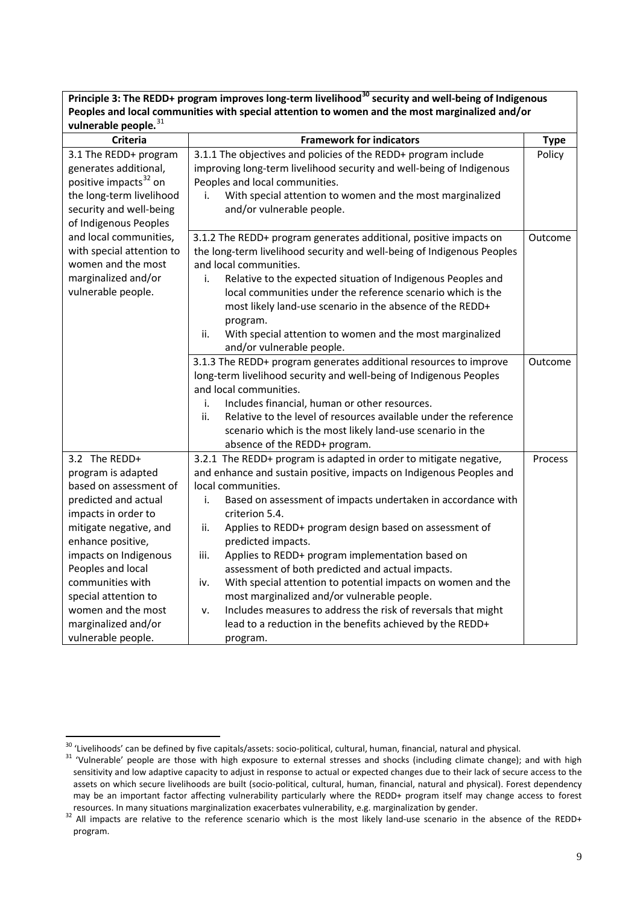**Principle 3: The REDD+ program improves long-term livelihood[30](#page-7-9) security and well-being of Indigenous Peoples and local communities with special attention to women and the most marginalized and/or vulnerable people.**[31](#page-8-0)

| .<br>Criteria                               | <b>Framework for indicators</b>                                                     | <b>Type</b>    |
|---------------------------------------------|-------------------------------------------------------------------------------------|----------------|
| 3.1 The REDD+ program                       | 3.1.1 The objectives and policies of the REDD+ program include                      | Policy         |
| generates additional,                       | improving long-term livelihood security and well-being of Indigenous                |                |
| positive impacts <sup>32</sup> on           | Peoples and local communities.                                                      |                |
| the long-term livelihood                    | With special attention to women and the most marginalized<br>i.                     |                |
| security and well-being                     | and/or vulnerable people.                                                           |                |
| of Indigenous Peoples                       |                                                                                     |                |
| and local communities,                      | 3.1.2 The REDD+ program generates additional, positive impacts on                   | <b>Outcome</b> |
| with special attention to                   | the long-term livelihood security and well-being of Indigenous Peoples              |                |
| women and the most                          | and local communities.                                                              |                |
| marginalized and/or                         | Relative to the expected situation of Indigenous Peoples and<br>i.                  |                |
| vulnerable people.                          | local communities under the reference scenario which is the                         |                |
|                                             | most likely land-use scenario in the absence of the REDD+                           |                |
|                                             | program.                                                                            |                |
|                                             | ii.<br>With special attention to women and the most marginalized                    |                |
|                                             | and/or vulnerable people.                                                           |                |
|                                             | 3.1.3 The REDD+ program generates additional resources to improve                   | Outcome        |
|                                             | long-term livelihood security and well-being of Indigenous Peoples                  |                |
|                                             | and local communities.                                                              |                |
|                                             | Includes financial, human or other resources.<br>i.                                 |                |
|                                             | Relative to the level of resources available under the reference<br>ii.             |                |
|                                             | scenario which is the most likely land-use scenario in the                          |                |
|                                             | absence of the REDD+ program.                                                       |                |
| 3.2 The REDD+                               | 3.2.1 The REDD+ program is adapted in order to mitigate negative,                   | Process        |
| program is adapted                          | and enhance and sustain positive, impacts on Indigenous Peoples and                 |                |
| based on assessment of                      | local communities.                                                                  |                |
| predicted and actual                        | Based on assessment of impacts undertaken in accordance with<br>i.                  |                |
| impacts in order to                         | criterion 5.4.                                                                      |                |
| mitigate negative, and<br>enhance positive, | Applies to REDD+ program design based on assessment of<br>ii.<br>predicted impacts. |                |
| impacts on Indigenous                       | iii.<br>Applies to REDD+ program implementation based on                            |                |
| Peoples and local                           | assessment of both predicted and actual impacts.                                    |                |
| communities with                            | With special attention to potential impacts on women and the<br>iv.                 |                |
| special attention to                        | most marginalized and/or vulnerable people.                                         |                |
| women and the most                          | Includes measures to address the risk of reversals that might<br>٧.                 |                |
| marginalized and/or                         | lead to a reduction in the benefits achieved by the REDD+                           |                |
| vulnerable people.                          | program.                                                                            |                |

<span id="page-8-0"></span> $30$  'Livelihoods' can be defined by five capitals/assets: socio-political, cultural, human, financial, natural and physical.<br> $31$  'Vulnerable' people are those with high exposure to external stresses and shocks (includin sensitivity and low adaptive capacity to adjust in response to actual or expected changes due to their lack of secure access to the assets on which secure livelihoods are built (socio-political, cultural, human, financial, natural and physical). Forest dependency may be an important factor affecting vulnerability particularly where the REDD+ program itself may change access to forest

<span id="page-8-2"></span><span id="page-8-1"></span>resources. In many situations marginalization exacerbates vulnerability, e.g. marginalization by gender.<br><sup>32</sup> All impacts are relative to the reference scenario which is the most likely land-use scenario in the absence of program.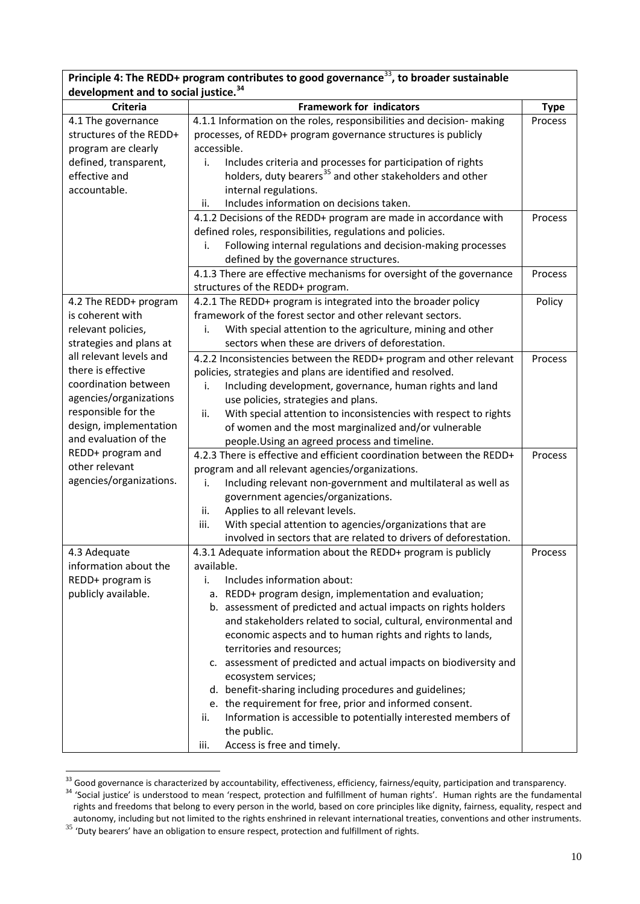| Principle 4: The REDD+ program contributes to good governance <sup>33</sup> , to broader sustainable |                                                                         |             |  |
|------------------------------------------------------------------------------------------------------|-------------------------------------------------------------------------|-------------|--|
| development and to social justice. <sup>34</sup>                                                     |                                                                         |             |  |
| <b>Criteria</b>                                                                                      | <b>Framework for indicators</b>                                         | <b>Type</b> |  |
| 4.1 The governance                                                                                   | 4.1.1 Information on the roles, responsibilities and decision- making   | Process     |  |
| structures of the REDD+                                                                              | processes, of REDD+ program governance structures is publicly           |             |  |
| program are clearly                                                                                  | accessible.                                                             |             |  |
| defined, transparent,                                                                                | Includes criteria and processes for participation of rights<br>i.       |             |  |
| effective and                                                                                        | holders, duty bearers <sup>35</sup> and other stakeholders and other    |             |  |
| accountable.                                                                                         | internal regulations.                                                   |             |  |
|                                                                                                      | Includes information on decisions taken.<br>ii.                         |             |  |
|                                                                                                      | 4.1.2 Decisions of the REDD+ program are made in accordance with        | Process     |  |
|                                                                                                      | defined roles, responsibilities, regulations and policies.              |             |  |
|                                                                                                      | Following internal regulations and decision-making processes<br>i.      |             |  |
|                                                                                                      | defined by the governance structures.                                   |             |  |
|                                                                                                      | 4.1.3 There are effective mechanisms for oversight of the governance    | Process     |  |
|                                                                                                      | structures of the REDD+ program.                                        |             |  |
| 4.2 The REDD+ program                                                                                | 4.2.1 The REDD+ program is integrated into the broader policy           | Policy      |  |
| is coherent with                                                                                     | framework of the forest sector and other relevant sectors.              |             |  |
| relevant policies,                                                                                   | With special attention to the agriculture, mining and other<br>i.       |             |  |
| strategies and plans at                                                                              | sectors when these are drivers of deforestation.                        |             |  |
| all relevant levels and                                                                              |                                                                         | Process     |  |
| there is effective                                                                                   | 4.2.2 Inconsistencies between the REDD+ program and other relevant      |             |  |
| coordination between                                                                                 | policies, strategies and plans are identified and resolved.             |             |  |
| agencies/organizations                                                                               | Including development, governance, human rights and land<br>i.          |             |  |
| responsible for the                                                                                  | use policies, strategies and plans.                                     |             |  |
| design, implementation                                                                               | With special attention to inconsistencies with respect to rights<br>ii. |             |  |
| and evaluation of the                                                                                | of women and the most marginalized and/or vulnerable                    |             |  |
|                                                                                                      | people. Using an agreed process and timeline.                           |             |  |
| REDD+ program and                                                                                    | 4.2.3 There is effective and efficient coordination between the REDD+   | Process     |  |
| other relevant                                                                                       | program and all relevant agencies/organizations.                        |             |  |
| agencies/organizations.                                                                              | Including relevant non-government and multilateral as well as<br>i.     |             |  |
|                                                                                                      | government agencies/organizations.                                      |             |  |
|                                                                                                      | Applies to all relevant levels.<br>ii.                                  |             |  |
|                                                                                                      | iii.<br>With special attention to agencies/organizations that are       |             |  |
|                                                                                                      | involved in sectors that are related to drivers of deforestation.       |             |  |
| 4.3 Adequate                                                                                         | 4.3.1 Adequate information about the REDD+ program is publicly          | Process     |  |
| information about the                                                                                | available.                                                              |             |  |
| REDD+ program is                                                                                     | Includes information about:<br>i.                                       |             |  |
| publicly available.                                                                                  | a. REDD+ program design, implementation and evaluation;                 |             |  |
|                                                                                                      | b. assessment of predicted and actual impacts on rights holders         |             |  |
|                                                                                                      | and stakeholders related to social, cultural, environmental and         |             |  |
|                                                                                                      | economic aspects and to human rights and rights to lands,               |             |  |
|                                                                                                      | territories and resources;                                              |             |  |
|                                                                                                      | c. assessment of predicted and actual impacts on biodiversity and       |             |  |
|                                                                                                      | ecosystem services;                                                     |             |  |
|                                                                                                      | d. benefit-sharing including procedures and guidelines;                 |             |  |
|                                                                                                      | e. the requirement for free, prior and informed consent.                |             |  |
|                                                                                                      | Information is accessible to potentially interested members of<br>ii.   |             |  |
|                                                                                                      | the public.                                                             |             |  |
|                                                                                                      | Access is free and timely.<br>iii.                                      |             |  |

 $33$  Good governance is characterized by accountability, effectiveness, efficiency, fairness/equity, participation and transparency.<br> $34$  'Social justice' is understood to mean 'respect, protection and fulfillment of huma

<span id="page-9-2"></span><span id="page-9-0"></span>rights and freedoms that belong to every person in the world, based on core principles like dignity, fairness, equality, respect and autonomy, including but not limited to the rights enshrined in relevant international treaties, conventions and other instruments.

<span id="page-9-1"></span> $35$  'Duty bearers' have an obligation to ensure respect, protection and fulfillment of rights.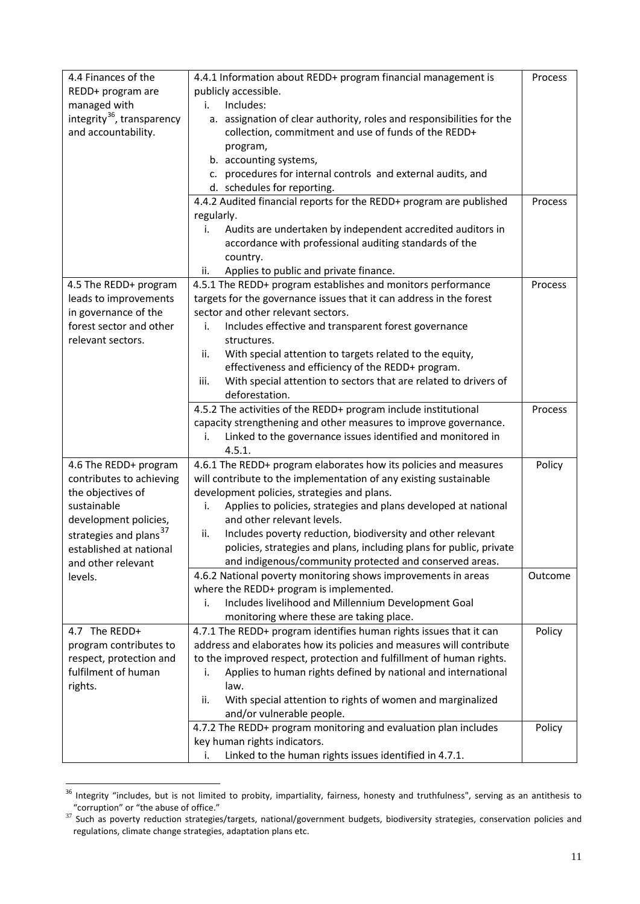| 4.4 Finances of the                    | 4.4.1 Information about REDD+ program financial management is            | Process |  |  |
|----------------------------------------|--------------------------------------------------------------------------|---------|--|--|
| REDD+ program are                      | publicly accessible.                                                     |         |  |  |
| managed with                           | Includes:<br>i.                                                          |         |  |  |
| integrity <sup>36</sup> , transparency | a. assignation of clear authority, roles and responsibilities for the    |         |  |  |
| and accountability.                    | collection, commitment and use of funds of the REDD+                     |         |  |  |
|                                        | program,                                                                 |         |  |  |
|                                        | b. accounting systems,                                                   |         |  |  |
|                                        | c. procedures for internal controls and external audits, and             |         |  |  |
|                                        | d. schedules for reporting.                                              |         |  |  |
|                                        | 4.4.2 Audited financial reports for the REDD+ program are published      | Process |  |  |
|                                        | regularly.                                                               |         |  |  |
|                                        | Audits are undertaken by independent accredited auditors in<br>i.        |         |  |  |
|                                        | accordance with professional auditing standards of the                   |         |  |  |
|                                        | country.                                                                 |         |  |  |
|                                        | Applies to public and private finance.<br>ii.                            |         |  |  |
| 4.5 The REDD+ program                  | 4.5.1 The REDD+ program establishes and monitors performance             | Process |  |  |
| leads to improvements                  | targets for the governance issues that it can address in the forest      |         |  |  |
| in governance of the                   | sector and other relevant sectors.                                       |         |  |  |
| forest sector and other                | Includes effective and transparent forest governance<br>i.               |         |  |  |
| relevant sectors.                      | structures.                                                              |         |  |  |
|                                        | With special attention to targets related to the equity,<br>ii.          |         |  |  |
|                                        | effectiveness and efficiency of the REDD+ program.                       |         |  |  |
|                                        | With special attention to sectors that are related to drivers of<br>iii. |         |  |  |
|                                        | deforestation.                                                           |         |  |  |
|                                        | 4.5.2 The activities of the REDD+ program include institutional          | Process |  |  |
|                                        | capacity strengthening and other measures to improve governance.         |         |  |  |
|                                        | Linked to the governance issues identified and monitored in<br>i.        |         |  |  |
|                                        | 4.5.1.                                                                   |         |  |  |
| 4.6 The REDD+ program                  | 4.6.1 The REDD+ program elaborates how its policies and measures         | Policy  |  |  |
| contributes to achieving               | will contribute to the implementation of any existing sustainable        |         |  |  |
| the objectives of                      | development policies, strategies and plans.                              |         |  |  |
| sustainable                            | Applies to policies, strategies and plans developed at national<br>i.    |         |  |  |
| development policies,                  | and other relevant levels.                                               |         |  |  |
| strategies and plans <sup>37</sup>     | Includes poverty reduction, biodiversity and other relevant<br>ii.       |         |  |  |
| established at national                | policies, strategies and plans, including plans for public, private      |         |  |  |
| and other relevant                     | and indigenous/community protected and conserved areas.                  |         |  |  |
| levels.                                | 4.6.2 National poverty monitoring shows improvements in areas            | Outcome |  |  |
|                                        | where the REDD+ program is implemented.                                  |         |  |  |
|                                        | Includes livelihood and Millennium Development Goal<br>i.                |         |  |  |
|                                        | monitoring where these are taking place.                                 |         |  |  |
| 4.7 The REDD+                          | 4.7.1 The REDD+ program identifies human rights issues that it can       | Policy  |  |  |
| program contributes to                 | address and elaborates how its policies and measures will contribute     |         |  |  |
| respect, protection and                | to the improved respect, protection and fulfillment of human rights.     |         |  |  |
| fulfilment of human                    | Applies to human rights defined by national and international<br>i.      |         |  |  |
| rights.                                | law.                                                                     |         |  |  |
|                                        | With special attention to rights of women and marginalized<br>ii.        |         |  |  |
|                                        | and/or vulnerable people.                                                |         |  |  |
|                                        | 4.7.2 The REDD+ program monitoring and evaluation plan includes          | Policy  |  |  |
|                                        | key human rights indicators.                                             |         |  |  |
|                                        | Linked to the human rights issues identified in 4.7.1.<br>i.             |         |  |  |

<span id="page-10-1"></span><sup>&</sup>lt;sup>36</sup> Integrity "includes, but is not limited to probity, impartiality, fairness, honesty and truthfulness", serving as an antithesis to "corruption" or "the abuse of office."

<span id="page-10-0"></span> $37$  Such as poverty reduction strategies/targets, national/government budgets, biodiversity strategies, conservation policies and regulations, climate change strategies, adaptation plans etc.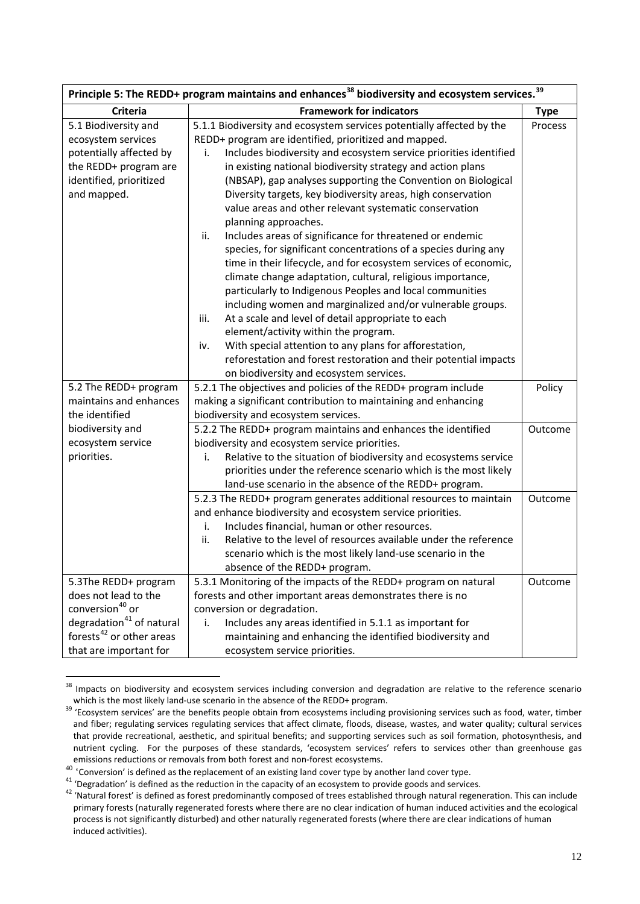| Principle 5: The REDD+ program maintains and enhances <sup>38</sup> biodiversity and ecosystem services. <sup>39</sup>                                                                |                                                                                                                                                                                                                                                                                                                                                                                                                                                                                                                                                                                                                                                                                                                                                                                                                                                                                                                                                                                                                                                                                                                                          |                   |
|---------------------------------------------------------------------------------------------------------------------------------------------------------------------------------------|------------------------------------------------------------------------------------------------------------------------------------------------------------------------------------------------------------------------------------------------------------------------------------------------------------------------------------------------------------------------------------------------------------------------------------------------------------------------------------------------------------------------------------------------------------------------------------------------------------------------------------------------------------------------------------------------------------------------------------------------------------------------------------------------------------------------------------------------------------------------------------------------------------------------------------------------------------------------------------------------------------------------------------------------------------------------------------------------------------------------------------------|-------------------|
| <b>Criteria</b>                                                                                                                                                                       | <b>Framework for indicators</b>                                                                                                                                                                                                                                                                                                                                                                                                                                                                                                                                                                                                                                                                                                                                                                                                                                                                                                                                                                                                                                                                                                          | <b>Type</b>       |
| 5.1 Biodiversity and<br>ecosystem services<br>potentially affected by<br>the REDD+ program are<br>identified, prioritized<br>and mapped.                                              | 5.1.1 Biodiversity and ecosystem services potentially affected by the<br>REDD+ program are identified, prioritized and mapped.<br>Includes biodiversity and ecosystem service priorities identified<br>i.<br>in existing national biodiversity strategy and action plans<br>(NBSAP), gap analyses supporting the Convention on Biological<br>Diversity targets, key biodiversity areas, high conservation<br>value areas and other relevant systematic conservation<br>planning approaches.<br>Includes areas of significance for threatened or endemic<br>ii.<br>species, for significant concentrations of a species during any<br>time in their lifecycle, and for ecosystem services of economic,<br>climate change adaptation, cultural, religious importance,<br>particularly to Indigenous Peoples and local communities<br>including women and marginalized and/or vulnerable groups.<br>At a scale and level of detail appropriate to each<br>iii.<br>element/activity within the program.<br>With special attention to any plans for afforestation,<br>iv.<br>reforestation and forest restoration and their potential impacts | Process           |
| 5.2 The REDD+ program<br>maintains and enhances<br>the identified<br>biodiversity and<br>ecosystem service<br>priorities.                                                             | on biodiversity and ecosystem services.<br>5.2.1 The objectives and policies of the REDD+ program include<br>making a significant contribution to maintaining and enhancing<br>biodiversity and ecosystem services.<br>5.2.2 The REDD+ program maintains and enhances the identified<br>biodiversity and ecosystem service priorities.<br>Relative to the situation of biodiversity and ecosystems service<br>i.<br>priorities under the reference scenario which is the most likely                                                                                                                                                                                                                                                                                                                                                                                                                                                                                                                                                                                                                                                     | Policy<br>Outcome |
|                                                                                                                                                                                       | land-use scenario in the absence of the REDD+ program.<br>5.2.3 The REDD+ program generates additional resources to maintain<br>and enhance biodiversity and ecosystem service priorities.<br>Includes financial, human or other resources.<br>i.<br>ii.<br>Relative to the level of resources available under the reference<br>scenario which is the most likely land-use scenario in the<br>absence of the REDD+ program.                                                                                                                                                                                                                                                                                                                                                                                                                                                                                                                                                                                                                                                                                                              | Outcome           |
| 5.3The REDD+ program<br>does not lead to the<br>conversion <sup>40</sup> or<br>degradation <sup>41</sup> of natural<br>forests <sup>42</sup> or other areas<br>that are important for | 5.3.1 Monitoring of the impacts of the REDD+ program on natural<br>forests and other important areas demonstrates there is no<br>conversion or degradation.<br>Includes any areas identified in 5.1.1 as important for<br>i.<br>maintaining and enhancing the identified biodiversity and<br>ecosystem service priorities.                                                                                                                                                                                                                                                                                                                                                                                                                                                                                                                                                                                                                                                                                                                                                                                                               | Outcome           |

<sup>&</sup>lt;sup>38</sup> Impacts on biodiversity and ecosystem services including conversion and degradation are relative to the reference scenario which is the most likely land-use scenario in the absence of the REDD+ program.

<span id="page-11-0"></span>which is the most likely land-use scenario in the absence of the ReDD+ program. Suppose the absence of the benefits people obtain from ecosystems including provisioning services such as food, water, timber and fiber; regulating services regulating services that affect climate, floods, disease, wastes, and water quality; cultural services that provide recreational, aesthetic, and spiritual benefits; and supporting services such as soil formation, photosynthesis, and nutrient cycling. For the purposes of these standards, 'ecosystem services' refers to services other than greenhouse gas emissions reductions or removals from both forest and non-forest ecosystems.

<span id="page-11-3"></span><span id="page-11-2"></span>

<span id="page-11-1"></span>Thissions reductions of removals from sources and not received to by another land cover type.<br>
<sup>40</sup> 'Conversion' is defined as the replacement of an existing land cover type by another land cover type.<br>
<sup>41</sup> 'Degradation' primary forests (naturally regenerated forests where there are no clear indication of human induced activities and the ecological process is not significantly disturbed) and other naturally regenerated forests (where there are clear indications of human induced activities).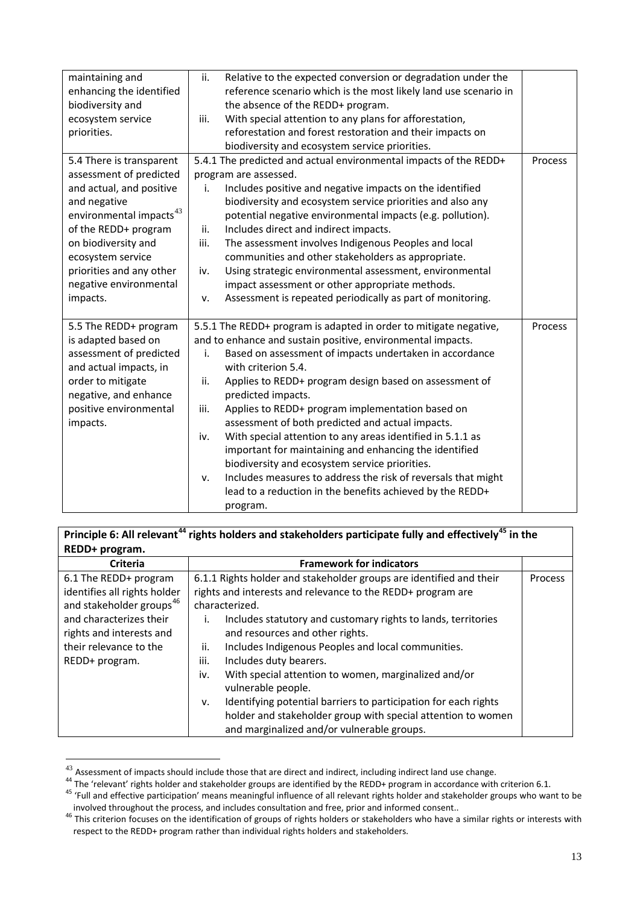| maintaining and               | ii.<br>Relative to the expected conversion or degradation under the |         |
|-------------------------------|---------------------------------------------------------------------|---------|
| enhancing the identified      | reference scenario which is the most likely land use scenario in    |         |
| biodiversity and              | the absence of the REDD+ program.                                   |         |
| ecosystem service             | With special attention to any plans for afforestation,<br>iii.      |         |
| priorities.                   | reforestation and forest restoration and their impacts on           |         |
|                               | biodiversity and ecosystem service priorities.                      |         |
| 5.4 There is transparent      | 5.4.1 The predicted and actual environmental impacts of the REDD+   | Process |
| assessment of predicted       | program are assessed.                                               |         |
| and actual, and positive      | Includes positive and negative impacts on the identified<br>i.      |         |
| and negative                  | biodiversity and ecosystem service priorities and also any          |         |
| environmental impacts $^{43}$ | potential negative environmental impacts (e.g. pollution).          |         |
| of the REDD+ program          | Includes direct and indirect impacts.<br>ii.                        |         |
| on biodiversity and           | The assessment involves Indigenous Peoples and local<br>iii.        |         |
| ecosystem service             | communities and other stakeholders as appropriate.                  |         |
| priorities and any other      | Using strategic environmental assessment, environmental<br>iv.      |         |
| negative environmental        | impact assessment or other appropriate methods.                     |         |
| impacts.                      | Assessment is repeated periodically as part of monitoring.<br>ν.    |         |
|                               |                                                                     |         |
| 5.5 The REDD+ program         | 5.5.1 The REDD+ program is adapted in order to mitigate negative,   | Process |
| is adapted based on           | and to enhance and sustain positive, environmental impacts.         |         |
| assessment of predicted       | Based on assessment of impacts undertaken in accordance<br>i.       |         |
| and actual impacts, in        | with criterion 5.4.                                                 |         |
| order to mitigate             | ii.<br>Applies to REDD+ program design based on assessment of       |         |
| negative, and enhance         | predicted impacts.                                                  |         |
| positive environmental        | Applies to REDD+ program implementation based on<br>iii.            |         |
| impacts.                      | assessment of both predicted and actual impacts.                    |         |
|                               | With special attention to any areas identified in 5.1.1 as<br>iv.   |         |
|                               | important for maintaining and enhancing the identified              |         |
|                               | biodiversity and ecosystem service priorities.                      |         |
|                               | Includes measures to address the risk of reversals that might<br>v. |         |
|                               | lead to a reduction in the benefits achieved by the REDD+           |         |
|                               | program.                                                            |         |

| Principle 6: All relevant <sup>44</sup> rights holders and stakeholders participate fully and effectively <sup>45</sup> in the |                |                                                                     |                |
|--------------------------------------------------------------------------------------------------------------------------------|----------------|---------------------------------------------------------------------|----------------|
| REDD+ program.                                                                                                                 |                |                                                                     |                |
| <b>Criteria</b>                                                                                                                |                | <b>Framework for indicators</b>                                     |                |
| 6.1 The REDD+ program                                                                                                          |                | 6.1.1 Rights holder and stakeholder groups are identified and their | <b>Process</b> |
| identifies all rights holder                                                                                                   |                | rights and interests and relevance to the REDD+ program are         |                |
| and stakeholder groups <sup>46</sup>                                                                                           | characterized. |                                                                     |                |
| and characterizes their                                                                                                        | Ι.             | Includes statutory and customary rights to lands, territories       |                |
| rights and interests and                                                                                                       |                | and resources and other rights.                                     |                |
| their relevance to the                                                                                                         | ii.            | Includes Indigenous Peoples and local communities.                  |                |
| REDD+ program.                                                                                                                 | iii.           | Includes duty bearers.                                              |                |
|                                                                                                                                | iv.            | With special attention to women, marginalized and/or                |                |
|                                                                                                                                |                | vulnerable people.                                                  |                |
|                                                                                                                                | v.             | Identifying potential barriers to participation for each rights     |                |
|                                                                                                                                |                | holder and stakeholder group with special attention to women        |                |
|                                                                                                                                |                | and marginalized and/or vulnerable groups.                          |                |

<span id="page-12-0"></span> $\frac{43}{43}$  Assessment of impacts should include those that are direct and indirect, including indirect land use change.<br><sup>44</sup> The 'relevant' rights holder and stakeholder groups are identified by the REDD+ program in acco

<span id="page-12-2"></span><span id="page-12-1"></span><sup>&</sup>lt;sup>46</sup> This criterion focuses on the identification of groups of rights holders or stakeholders who have a similar rights or interests with respect to the REDD+ program rather than individual rights holders and stakeholders.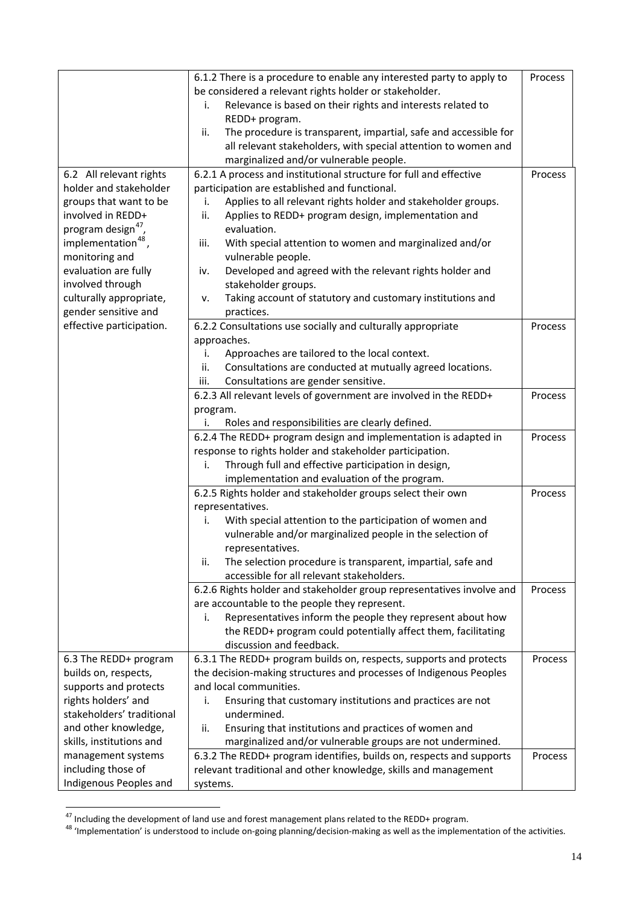|                                | 6.1.2 There is a procedure to enable any interested party to apply to   |         |
|--------------------------------|-------------------------------------------------------------------------|---------|
|                                | be considered a relevant rights holder or stakeholder.                  |         |
|                                | Relevance is based on their rights and interests related to<br>i.       |         |
|                                | REDD+ program.                                                          |         |
|                                | The procedure is transparent, impartial, safe and accessible for<br>ii. |         |
|                                | all relevant stakeholders, with special attention to women and          |         |
|                                | marginalized and/or vulnerable people.                                  |         |
| 6.2 All relevant rights        | 6.2.1 A process and institutional structure for full and effective      | Process |
| holder and stakeholder         | participation are established and functional.                           |         |
| groups that want to be         | Applies to all relevant rights holder and stakeholder groups.<br>i.     |         |
| involved in REDD+              | ii.<br>Applies to REDD+ program design, implementation and              |         |
| program design <sup>47</sup> , | evaluation.                                                             |         |
| implementation <sup>48</sup> , | With special attention to women and marginalized and/or<br>iii.         |         |
| monitoring and                 | vulnerable people.                                                      |         |
| evaluation are fully           | Developed and agreed with the relevant rights holder and<br>iv.         |         |
| involved through               | stakeholder groups.                                                     |         |
| culturally appropriate,        | Taking account of statutory and customary institutions and<br>ν.        |         |
| gender sensitive and           | practices.                                                              |         |
| effective participation.       | 6.2.2 Consultations use socially and culturally appropriate             | Process |
|                                | approaches.                                                             |         |
|                                | Approaches are tailored to the local context.<br>i.                     |         |
|                                | Consultations are conducted at mutually agreed locations.<br>ii.        |         |
|                                | iii.<br>Consultations are gender sensitive.                             |         |
|                                | 6.2.3 All relevant levels of government are involved in the REDD+       | Process |
|                                | program.                                                                |         |
|                                | Roles and responsibilities are clearly defined.<br>i.                   |         |
|                                | 6.2.4 The REDD+ program design and implementation is adapted in         | Process |
|                                | response to rights holder and stakeholder participation.                |         |
|                                | i.<br>Through full and effective participation in design,               |         |
|                                | implementation and evaluation of the program.                           |         |
|                                | 6.2.5 Rights holder and stakeholder groups select their own             | Process |
|                                | representatives.                                                        |         |
|                                | With special attention to the participation of women and<br>i.          |         |
|                                | vulnerable and/or marginalized people in the selection of               |         |
|                                | representatives.                                                        |         |
|                                | The selection procedure is transparent, impartial, safe and<br>ii.      |         |
|                                | accessible for all relevant stakeholders.                               |         |
|                                | 6.2.6 Rights holder and stakeholder group representatives involve and   | Process |
|                                | are accountable to the people they represent.                           |         |
|                                | Representatives inform the people they represent about how<br>i.        |         |
|                                | the REDD+ program could potentially affect them, facilitating           |         |
|                                | discussion and feedback.                                                |         |
| 6.3 The REDD+ program          | 6.3.1 The REDD+ program builds on, respects, supports and protects      | Process |
| builds on, respects,           | the decision-making structures and processes of Indigenous Peoples      |         |
| supports and protects          | and local communities.                                                  |         |
| rights holders' and            | Ensuring that customary institutions and practices are not<br>i.        |         |
| stakeholders' traditional      | undermined.                                                             |         |
| and other knowledge,           | Ensuring that institutions and practices of women and<br>ii.            |         |
| skills, institutions and       | marginalized and/or vulnerable groups are not undermined.               |         |
| management systems             | 6.3.2 The REDD+ program identifies, builds on, respects and supports    | Process |
| including those of             | relevant traditional and other knowledge, skills and management         |         |
| Indigenous Peoples and         | systems.                                                                |         |

<span id="page-13-1"></span><span id="page-13-0"></span><sup>&</sup>lt;sup>47</sup> Including the development of land use and forest management plans related to the REDD+ program.<br><sup>48</sup> 'Implementation' is understood to include on-going planning/decision-making as well as the implementation of the ac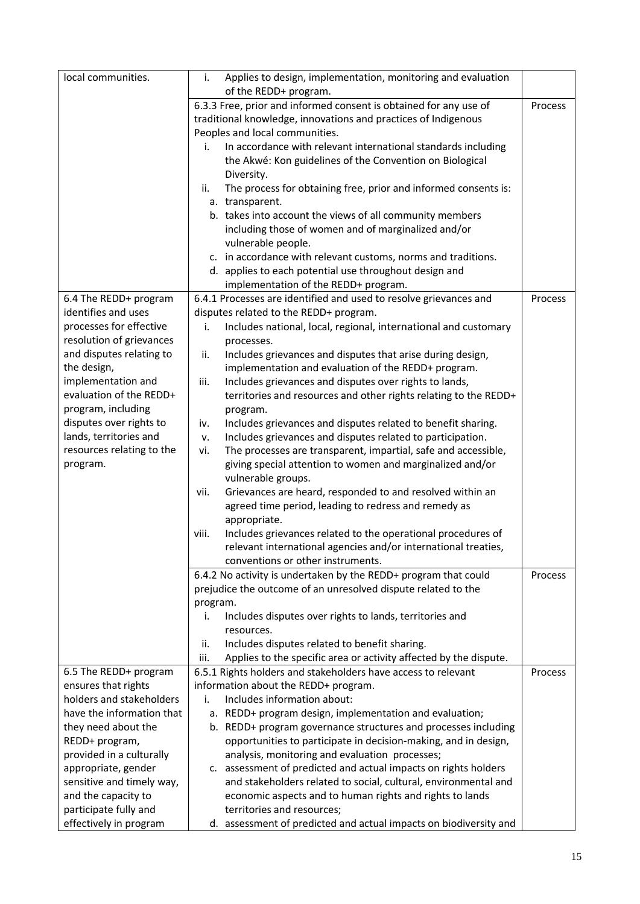| local communities.        | Applies to design, implementation, monitoring and evaluation<br>i.        |         |
|---------------------------|---------------------------------------------------------------------------|---------|
|                           | of the REDD+ program.                                                     |         |
|                           | 6.3.3 Free, prior and informed consent is obtained for any use of         | Process |
|                           | traditional knowledge, innovations and practices of Indigenous            |         |
|                           | Peoples and local communities.                                            |         |
|                           | In accordance with relevant international standards including<br>i.       |         |
|                           | the Akwé: Kon guidelines of the Convention on Biological                  |         |
|                           | Diversity.                                                                |         |
|                           | The process for obtaining free, prior and informed consents is:<br>ii.    |         |
|                           | a. transparent.                                                           |         |
|                           | b. takes into account the views of all community members                  |         |
|                           | including those of women and of marginalized and/or                       |         |
|                           | vulnerable people.                                                        |         |
|                           | c. in accordance with relevant customs, norms and traditions.             |         |
|                           | d. applies to each potential use throughout design and                    |         |
|                           | implementation of the REDD+ program.                                      |         |
| 6.4 The REDD+ program     | 6.4.1 Processes are identified and used to resolve grievances and         | Process |
| identifies and uses       | disputes related to the REDD+ program.                                    |         |
| processes for effective   | Includes national, local, regional, international and customary<br>i.     |         |
| resolution of grievances  | processes.                                                                |         |
| and disputes relating to  | Includes grievances and disputes that arise during design,<br>ii.         |         |
| the design,               | implementation and evaluation of the REDD+ program.                       |         |
| implementation and        | iii.<br>Includes grievances and disputes over rights to lands,            |         |
| evaluation of the REDD+   | territories and resources and other rights relating to the REDD+          |         |
| program, including        | program.                                                                  |         |
| disputes over rights to   | Includes grievances and disputes related to benefit sharing.<br>iv.       |         |
| lands, territories and    | Includes grievances and disputes related to participation.<br>v.          |         |
| resources relating to the | The processes are transparent, impartial, safe and accessible,<br>vi.     |         |
| program.                  | giving special attention to women and marginalized and/or                 |         |
|                           | vulnerable groups.                                                        |         |
|                           | Grievances are heard, responded to and resolved within an<br>vii.         |         |
|                           | agreed time period, leading to redress and remedy as                      |         |
|                           | appropriate.                                                              |         |
|                           | Includes grievances related to the operational procedures of<br>viii.     |         |
|                           | relevant international agencies and/or international treaties,            |         |
|                           | conventions or other instruments.                                         |         |
|                           | 6.4.2 No activity is undertaken by the REDD+ program that could           | Process |
|                           | prejudice the outcome of an unresolved dispute related to the             |         |
|                           | program.                                                                  |         |
|                           | Includes disputes over rights to lands, territories and<br>i.             |         |
|                           | resources.                                                                |         |
|                           | Includes disputes related to benefit sharing.<br>ii.                      |         |
|                           | Applies to the specific area or activity affected by the dispute.<br>iii. |         |
| 6.5 The REDD+ program     | 6.5.1 Rights holders and stakeholders have access to relevant             | Process |
| ensures that rights       | information about the REDD+ program.                                      |         |
| holders and stakeholders  | Includes information about:<br>i.                                         |         |
| have the information that | a. REDD+ program design, implementation and evaluation;                   |         |
| they need about the       | b. REDD+ program governance structures and processes including            |         |
| REDD+ program,            | opportunities to participate in decision-making, and in design,           |         |
| provided in a culturally  | analysis, monitoring and evaluation processes;                            |         |
| appropriate, gender       | c. assessment of predicted and actual impacts on rights holders           |         |
| sensitive and timely way, | and stakeholders related to social, cultural, environmental and           |         |
| and the capacity to       | economic aspects and to human rights and rights to lands                  |         |
| participate fully and     | territories and resources;                                                |         |
| effectively in program    | d. assessment of predicted and actual impacts on biodiversity and         |         |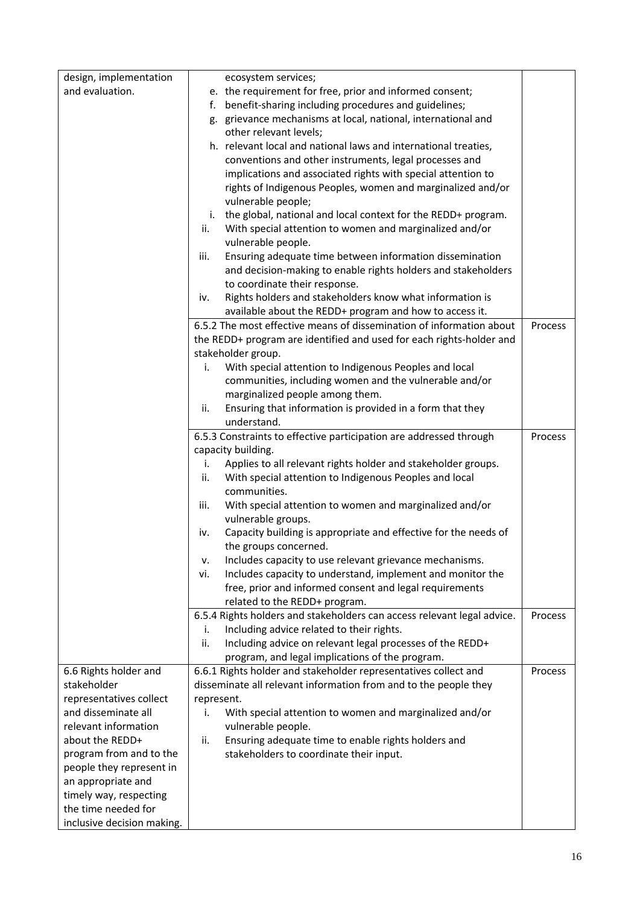| design, implementation                     | ecosystem services;                                                                                                       |         |
|--------------------------------------------|---------------------------------------------------------------------------------------------------------------------------|---------|
| and evaluation.                            | e. the requirement for free, prior and informed consent;                                                                  |         |
|                                            | benefit-sharing including procedures and guidelines;<br>f.                                                                |         |
|                                            | g. grievance mechanisms at local, national, international and                                                             |         |
|                                            | other relevant levels;                                                                                                    |         |
|                                            | h. relevant local and national laws and international treaties,                                                           |         |
|                                            | conventions and other instruments, legal processes and                                                                    |         |
|                                            | implications and associated rights with special attention to                                                              |         |
|                                            | rights of Indigenous Peoples, women and marginalized and/or                                                               |         |
|                                            | vulnerable people;                                                                                                        |         |
|                                            | the global, national and local context for the REDD+ program.<br>i.                                                       |         |
|                                            | ii.<br>With special attention to women and marginalized and/or                                                            |         |
|                                            | vulnerable people.<br>iii.                                                                                                |         |
|                                            | Ensuring adequate time between information dissemination<br>and decision-making to enable rights holders and stakeholders |         |
|                                            | to coordinate their response.                                                                                             |         |
|                                            | Rights holders and stakeholders know what information is<br>iv.                                                           |         |
|                                            | available about the REDD+ program and how to access it.                                                                   |         |
|                                            | 6.5.2 The most effective means of dissemination of information about                                                      | Process |
|                                            | the REDD+ program are identified and used for each rights-holder and                                                      |         |
|                                            | stakeholder group.                                                                                                        |         |
|                                            | With special attention to Indigenous Peoples and local<br>i.                                                              |         |
|                                            | communities, including women and the vulnerable and/or                                                                    |         |
|                                            | marginalized people among them.                                                                                           |         |
|                                            | Ensuring that information is provided in a form that they<br>ii.                                                          |         |
|                                            | understand.                                                                                                               |         |
|                                            | 6.5.3 Constraints to effective participation are addressed through                                                        | Process |
|                                            | capacity building.                                                                                                        |         |
|                                            | Applies to all relevant rights holder and stakeholder groups.<br>i.                                                       |         |
|                                            | With special attention to Indigenous Peoples and local<br>ii.                                                             |         |
|                                            | communities.                                                                                                              |         |
|                                            | With special attention to women and marginalized and/or<br>iii.                                                           |         |
|                                            | vulnerable groups.<br>Capacity building is appropriate and effective for the needs of<br>iv.                              |         |
|                                            | the groups concerned.                                                                                                     |         |
|                                            | Includes capacity to use relevant grievance mechanisms.<br>v.                                                             |         |
|                                            | Includes capacity to understand, implement and monitor the<br>vi.                                                         |         |
|                                            | free, prior and informed consent and legal requirements                                                                   |         |
|                                            | related to the REDD+ program.                                                                                             |         |
|                                            | 6.5.4 Rights holders and stakeholders can access relevant legal advice.                                                   | Process |
|                                            | Including advice related to their rights.<br>i.                                                                           |         |
|                                            | ii.<br>Including advice on relevant legal processes of the REDD+                                                          |         |
|                                            | program, and legal implications of the program.                                                                           |         |
| 6.6 Rights holder and                      | 6.6.1 Rights holder and stakeholder representatives collect and                                                           | Process |
| stakeholder                                | disseminate all relevant information from and to the people they                                                          |         |
| representatives collect                    | represent.                                                                                                                |         |
| and disseminate all                        | i.<br>With special attention to women and marginalized and/or                                                             |         |
| relevant information                       | vulnerable people.                                                                                                        |         |
| about the REDD+<br>program from and to the | Ensuring adequate time to enable rights holders and<br>ii.<br>stakeholders to coordinate their input.                     |         |
| people they represent in                   |                                                                                                                           |         |
| an appropriate and                         |                                                                                                                           |         |
| timely way, respecting                     |                                                                                                                           |         |
| the time needed for                        |                                                                                                                           |         |
| inclusive decision making.                 |                                                                                                                           |         |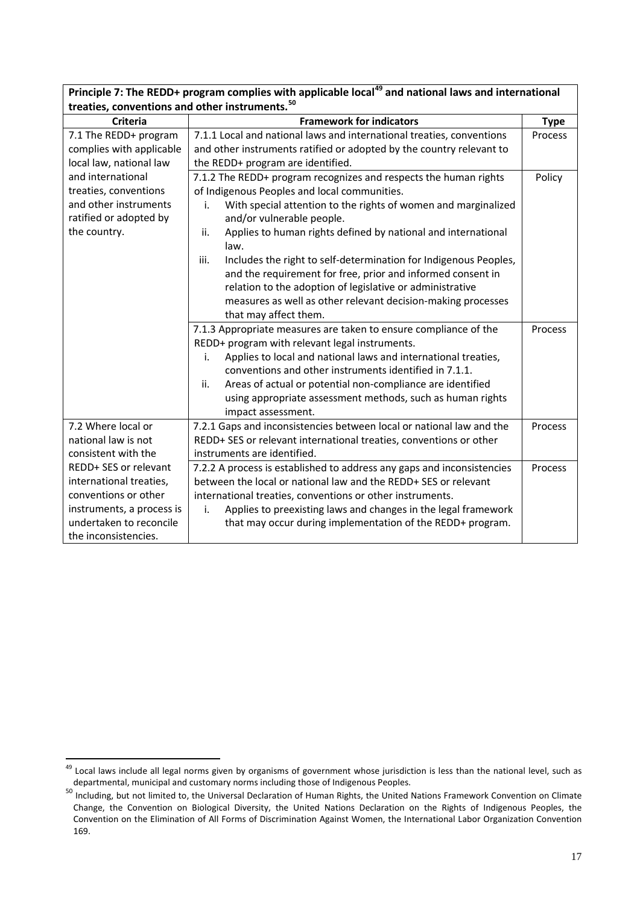| treaties, conventions and other instruments. <sup>50</sup> |                                                                          |             |
|------------------------------------------------------------|--------------------------------------------------------------------------|-------------|
| <b>Criteria</b>                                            | <b>Framework for indicators</b>                                          | <b>Type</b> |
| 7.1 The REDD+ program                                      | 7.1.1 Local and national laws and international treaties, conventions    | Process     |
| complies with applicable                                   | and other instruments ratified or adopted by the country relevant to     |             |
| local law, national law                                    | the REDD+ program are identified.                                        |             |
| and international                                          | 7.1.2 The REDD+ program recognizes and respects the human rights         | Policy      |
| treaties, conventions                                      | of Indigenous Peoples and local communities.                             |             |
| and other instruments                                      | With special attention to the rights of women and marginalized<br>i.     |             |
| ratified or adopted by                                     | and/or vulnerable people.                                                |             |
| the country.                                               | Applies to human rights defined by national and international<br>ii.     |             |
|                                                            | law.                                                                     |             |
|                                                            | iii.<br>Includes the right to self-determination for Indigenous Peoples, |             |
|                                                            | and the requirement for free, prior and informed consent in              |             |
|                                                            | relation to the adoption of legislative or administrative                |             |
|                                                            | measures as well as other relevant decision-making processes             |             |
|                                                            | that may affect them.                                                    |             |
|                                                            | 7.1.3 Appropriate measures are taken to ensure compliance of the         | Process     |
|                                                            | REDD+ program with relevant legal instruments.                           |             |
|                                                            | Applies to local and national laws and international treaties,<br>i.     |             |
|                                                            | conventions and other instruments identified in 7.1.1.                   |             |
|                                                            | Areas of actual or potential non-compliance are identified<br>ii.        |             |
|                                                            | using appropriate assessment methods, such as human rights               |             |
|                                                            | impact assessment.                                                       |             |
| 7.2 Where local or                                         | 7.2.1 Gaps and inconsistencies between local or national law and the     | Process     |
| national law is not                                        | REDD+ SES or relevant international treaties, conventions or other       |             |
| consistent with the                                        | instruments are identified.                                              |             |
| REDD+ SES or relevant                                      | 7.2.2 A process is established to address any gaps and inconsistencies   | Process     |
| international treaties,                                    | between the local or national law and the REDD+ SES or relevant          |             |
| conventions or other                                       | international treaties, conventions or other instruments.                |             |
| instruments, a process is                                  | Applies to preexisting laws and changes in the legal framework<br>i.     |             |
| undertaken to reconcile                                    | that may occur during implementation of the REDD+ program.               |             |
| the inconsistencies.                                       |                                                                          |             |

**Principle 7: The REDD+ program complies with applicable local<sup>[49](#page-13-1)</sup> and national laws and international** 

<sup>&</sup>lt;sup>49</sup> Local laws include all legal norms given by organisms of government whose jurisdiction is less than the national level, such as departmental, municipal and customary norms including those of Indigenous Peoples.

<span id="page-16-1"></span><span id="page-16-0"></span><sup>50</sup> Including, but not limited to, the Universal Declaration of Human Rights, the United Nations Framework Convention on Climate Change, the Convention on Biological Diversity, the United Nations Declaration on the Rights of Indigenous Peoples, the Convention on the Elimination of All Forms of Discrimination Against Women, the International Labor Organization Convention 169.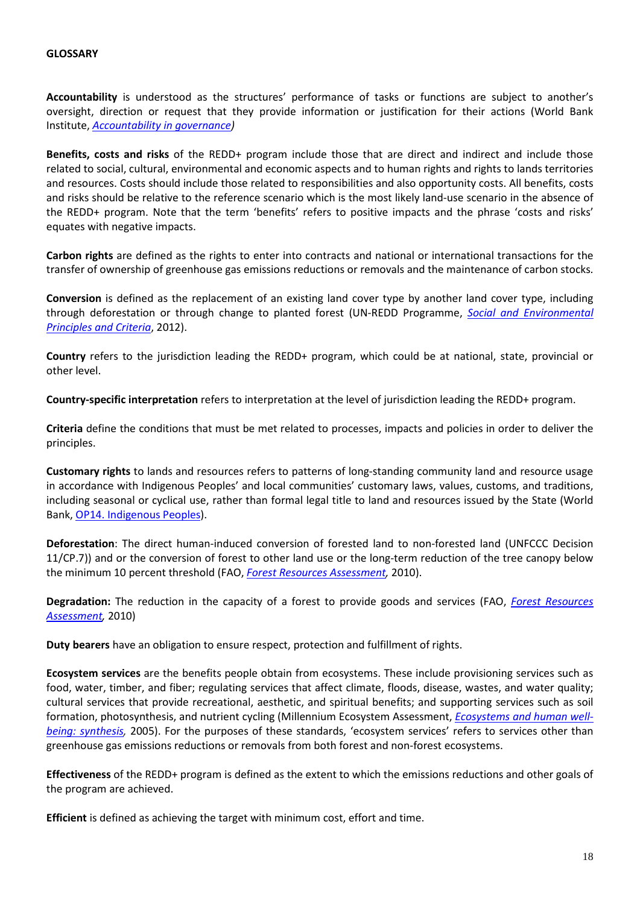**Accountability** is understood as the structures' performance of tasks or functions are subject to another's oversight, direction or request that they provide information or justification for their actions (World Bank Institute, *[Accountability in governance\)](http://siteresources.worldbank.org/PUBLICSECTORANDGOVERNANCE/Resources/AccountabilityGovernance.pdf)*

**Benefits, costs and risks** of the REDD+ program include those that are direct and indirect and include those related to social, cultural, environmental and economic aspects and to human rights and rights to lands territories and resources. Costs should include those related to responsibilities and also opportunity costs. All benefits, costs and risks should be relative to the reference scenario which is the most likely land-use scenario in the absence of the REDD+ program. Note that the term 'benefits' refers to positive impacts and the phrase 'costs and risks' equates with negative impacts.

**Carbon rights** are defined as the rights to enter into contracts and national or international transactions for the transfer of ownership of greenhouse gas emissions reductions or removals and the maintenance of carbon stocks.

**Conversion** is defined as the replacement of an existing land cover type by another land cover type, including through deforestation or through change to planted forest (UN-REDD Programme, *[Social and Environmental](http://www.un-redd.org/Multiple_Benefits_SEPC/tabid/54130/Default.aspx)  [Principles and Criteria](http://www.un-redd.org/Multiple_Benefits_SEPC/tabid/54130/Default.aspx)*, 2012).

**Country** refers to the jurisdiction leading the REDD+ program, which could be at national, state, provincial or other level.

**Country-specific interpretation** refers to interpretation at the level of jurisdiction leading the REDD+ program.

**Criteria** define the conditions that must be met related to processes, impacts and policies in order to deliver the principles.

**Customary rights** to lands and resources refers to patterns of long-standing community land and resource usage in accordance with Indigenous Peoples' and local communities' customary laws, values, customs, and traditions, including seasonal or cyclical use, rather than formal legal title to land and resources issued by the State (World Bank[, OP14. Indigenous Peoples\)](http://web.worldbank.org/WBSITE/EXTERNAL/PROJECTS/EXTPOLICIES/EXTOPMANUAL/0,,print:Y~isCURL:Y~contentMDK:20553653~menuPK:4564185~pagePK:64709096~piPK:64709108~theSitePK:502184,00.html).

**Deforestation**: The direct human-induced conversion of forested land to non-forested land (UNFCCC Decision 11/CP.7)) and or the conversion of forest to other land use or the long-term reduction of the tree canopy below the minimum 10 percent threshold (FAO, *[Forest Resources Assessment,](http://www.fao.org/docrep/014/am665e/am665e00.pdf)* 2010).

**Degradation:** The reduction in the capacity of a forest to provide goods and services (FAO, *[Forest Resources](http://www.fao.org/docrep/014/am665e/am665e00.pdf)  [Assessment,](http://www.fao.org/docrep/014/am665e/am665e00.pdf)* 2010)

**Duty bearers** have an obligation to ensure respect, protection and fulfillment of rights.

**Ecosystem services** are the benefits people obtain from ecosystems. These include provisioning services such as food, water, timber, and fiber; regulating services that affect climate, floods, disease, wastes, and water quality; cultural services that provide recreational, aesthetic, and spiritual benefits; and supporting services such as soil formation, photosynthesis, and nutrient cycling (Millennium Ecosystem Assessment, *[Ecosystems and human well](http://www.maweb.org/documents/document.356.aspx.pdf)[being: synthesis,](http://www.maweb.org/documents/document.356.aspx.pdf)* 2005). For the purposes of these standards, 'ecosystem services' refers to services other than greenhouse gas emissions reductions or removals from both forest and non-forest ecosystems.

**Effectiveness** of the REDD+ program is defined as the extent to which the emissions reductions and other goals of the program are achieved.

**Efficient** is defined as achieving the target with minimum cost, effort and time.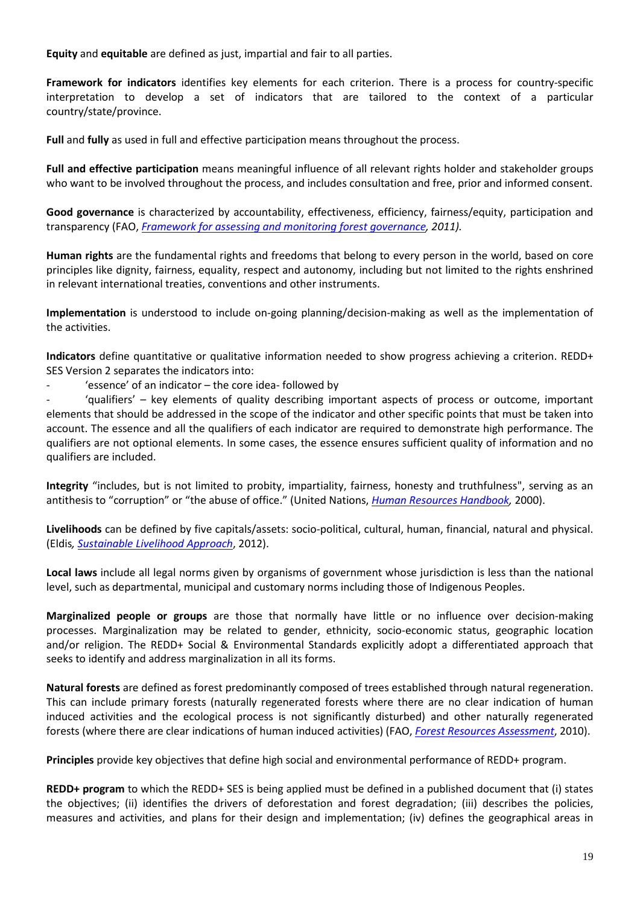**Equity** and **equitable** are defined as just, impartial and fair to all parties.

**Framework for indicators** identifies key elements for each criterion. There is a process for country-specific interpretation to develop a set of indicators that are tailored to the context of a particular country/state/province.

**Full** and **fully** as used in full and effective participation means throughout the process.

**Full and effective participation** means meaningful influence of all relevant rights holder and stakeholder groups who want to be involved throughout the process, and includes consultation and free, prior and informed consent.

**Good governance** is characterized by accountability, effectiveness, efficiency, fairness/equity, participation and transparency (FAO, *[Framework for assessing and monitoring forest governance,](http://www.fao.org/climatechange/27526-0cc61ecc084048c7a9425f64942df70a8.pdf) 2011).*

**Human rights** are the fundamental rights and freedoms that belong to every person in the world, based on core principles like dignity, fairness, equality, respect and autonomy, including but not limited to the rights enshrined in relevant international treaties, conventions and other instruments.

**Implementation** is understood to include on-going planning/decision-making as well as the implementation of the activities.

**Indicators** define quantitative or qualitative information needed to show progress achieving a criterion. REDD+ SES Version 2 separates the indicators into:

- 'essence' of an indicator – the core idea- followed by

'qualifiers' – key elements of quality describing important aspects of process or outcome, important elements that should be addressed in the scope of the indicator and other specific points that must be taken into account. The essence and all the qualifiers of each indicator are required to demonstrate high performance. The qualifiers are not optional elements. In some cases, the essence ensures sufficient quality of information and no qualifiers are included.

**Integrity** "includes, but is not limited to probity, impartiality, fairness, honesty and truthfulness", serving as an antithesis to "corruption" or "the abuse of office." (United Nations, *[Human Resources Handbook,](http://unpan1.un.org/intradoc/groups/public/documents/un/unpan020955.pdf)* 2000).

**Livelihoods** can be defined by five capitals/assets: socio-political, cultural, human, financial, natural and physical. (Eldis*, [Sustainable Livelihood Approach](http://www.eldis.org/go/topics/dossiers/livelihoods-connect/what-are-livelihoods-approaches/livelihoods-assets)*, 2012).

**Local laws** include all legal norms given by organisms of government whose jurisdiction is less than the national level, such as departmental, municipal and customary norms including those of Indigenous Peoples.

**Marginalized people or groups** are those that normally have little or no influence over decision-making processes. Marginalization may be related to gender, ethnicity, socio-economic status, geographic location and/or religion. The REDD+ Social & Environmental Standards explicitly adopt a differentiated approach that seeks to identify and address marginalization in all its forms.

**Natural forests** are defined as forest predominantly composed of trees established through natural regeneration. This can include primary forests (naturally regenerated forests where there are no clear indication of human induced activities and the ecological process is not significantly disturbed) and other naturally regenerated forests (where there are clear indications of human induced activities) (FAO, *[Forest Resources Assessment](http://www.fao.org/docrep/014/am665e/am665e00.pdf)*, 2010).

**Principles** provide key objectives that define high social and environmental performance of REDD+ program.

**REDD+ program** to which the REDD+ SES is being applied must be defined in a published document that (i) states the objectives; (ii) identifies the drivers of deforestation and forest degradation; (iii) describes the policies, measures and activities, and plans for their design and implementation; (iv) defines the geographical areas in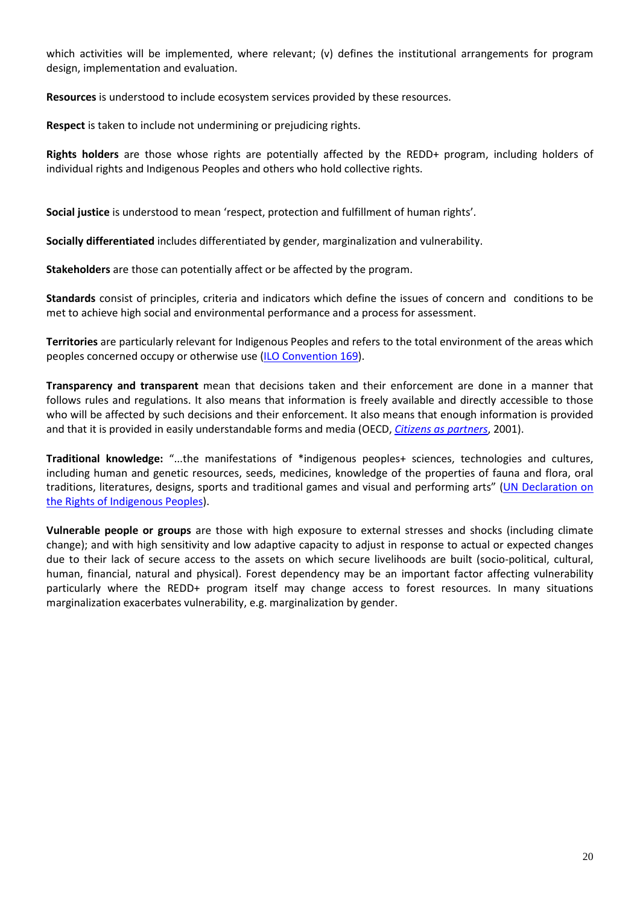which activities will be implemented, where relevant; (v) defines the institutional arrangements for program design, implementation and evaluation.

**Resources** is understood to include ecosystem services provided by these resources.

**Respect** is taken to include not undermining or prejudicing rights.

**Rights holders** are those whose rights are potentially affected by the REDD+ program, including holders of individual rights and Indigenous Peoples and others who hold collective rights.

**Social justice** is understood to mean 'respect, protection and fulfillment of human rights'.

**Socially differentiated** includes differentiated by gender, marginalization and vulnerability.

**Stakeholders** are those can potentially affect or be affected by the program.

**Standards** consist of principles, criteria and indicators which define the issues of concern and conditions to be met to achieve high social and environmental performance and a process for assessment.

**Territories** are particularly relevant for Indigenous Peoples and refers to the total environment of the areas which peoples concerned occupy or otherwise use [\(ILO Convention 169\)](http://www.ilo.org/ilolex/cgi-lex/convde.pl?C169).

**Transparency and transparent** mean that decisions taken and their enforcement are done in a manner that follows rules and regulations. It also means that information is freely available and directly accessible to those who will be affected by such decisions and their enforcement. It also means that enough information is provided and that it is provided in easily understandable forms and media (OECD, *[Citizens as partners](http://www.ecnl.org/dindocuments/214_OECD_Engaging%20Citizens%20in%20Policy-Making.pdf)*, 2001).

**Traditional knowledge:** "...the manifestations of \*indigenous peoples+ sciences, technologies and cultures, including human and genetic resources, seeds, medicines, knowledge of the properties of fauna and flora, oral traditions, literatures, designs, sports and traditional games and visual and performing arts" (UN Declaration on [the Rights of Indigenous Peoples\)](http://www.un.org/esa/socdev/unpfii/documents/DRIPS_en.pdf).

**Vulnerable people or groups** are those with high exposure to external stresses and shocks (including climate change); and with high sensitivity and low adaptive capacity to adjust in response to actual or expected changes due to their lack of secure access to the assets on which secure livelihoods are built (socio-political, cultural, human, financial, natural and physical). Forest dependency may be an important factor affecting vulnerability particularly where the REDD+ program itself may change access to forest resources. In many situations marginalization exacerbates vulnerability, e.g. marginalization by gender.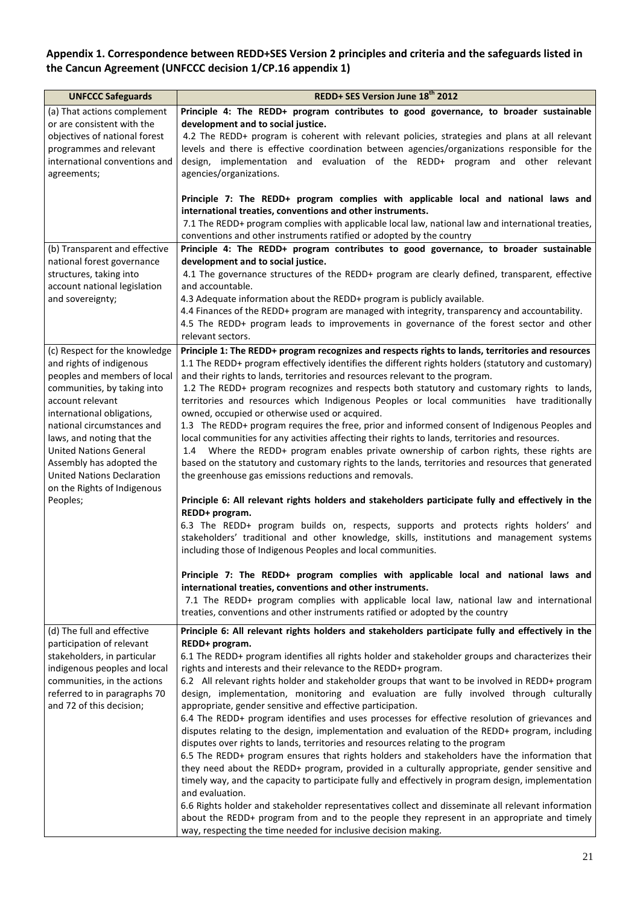# **Appendix 1. Correspondence between REDD+SES Version 2 principles and criteria and the safeguards listed in the Cancun Agreement (UNFCCC decision 1/CP.16 appendix 1)**

| REDD+ SES Version June 18th 2012                                                                                                                                                                                                                                                                                                                                                                                                                                                                                                                                                                                                                                                                                                                                                                                                                                                                                                                                                                                                                                                                                                                                                                                                                                                                                                                                               |
|--------------------------------------------------------------------------------------------------------------------------------------------------------------------------------------------------------------------------------------------------------------------------------------------------------------------------------------------------------------------------------------------------------------------------------------------------------------------------------------------------------------------------------------------------------------------------------------------------------------------------------------------------------------------------------------------------------------------------------------------------------------------------------------------------------------------------------------------------------------------------------------------------------------------------------------------------------------------------------------------------------------------------------------------------------------------------------------------------------------------------------------------------------------------------------------------------------------------------------------------------------------------------------------------------------------------------------------------------------------------------------|
| Principle 4: The REDD+ program contributes to good governance, to broader sustainable<br>development and to social justice.<br>4.2 The REDD+ program is coherent with relevant policies, strategies and plans at all relevant<br>levels and there is effective coordination between agencies/organizations responsible for the<br>design, implementation and evaluation of the REDD+ program and other relevant                                                                                                                                                                                                                                                                                                                                                                                                                                                                                                                                                                                                                                                                                                                                                                                                                                                                                                                                                                |
| agencies/organizations.<br>Principle 7: The REDD+ program complies with applicable local and national laws and<br>international treaties, conventions and other instruments.<br>7.1 The REDD+ program complies with applicable local law, national law and international treaties,<br>conventions and other instruments ratified or adopted by the country                                                                                                                                                                                                                                                                                                                                                                                                                                                                                                                                                                                                                                                                                                                                                                                                                                                                                                                                                                                                                     |
| Principle 4: The REDD+ program contributes to good governance, to broader sustainable<br>development and to social justice.<br>4.1 The governance structures of the REDD+ program are clearly defined, transparent, effective<br>and accountable.<br>4.3 Adequate information about the REDD+ program is publicly available.<br>4.4 Finances of the REDD+ program are managed with integrity, transparency and accountability.<br>4.5 The REDD+ program leads to improvements in governance of the forest sector and other<br>relevant sectors.                                                                                                                                                                                                                                                                                                                                                                                                                                                                                                                                                                                                                                                                                                                                                                                                                                |
| Principle 1: The REDD+ program recognizes and respects rights to lands, territories and resources<br>1.1 The REDD+ program effectively identifies the different rights holders (statutory and customary)<br>and their rights to lands, territories and resources relevant to the program.<br>1.2 The REDD+ program recognizes and respects both statutory and customary rights to lands,<br>territories and resources which Indigenous Peoples or local communities have traditionally<br>owned, occupied or otherwise used or acquired.<br>1.3 The REDD+ program requires the free, prior and informed consent of Indigenous Peoples and<br>local communities for any activities affecting their rights to lands, territories and resources.<br>1.4 Where the REDD+ program enables private ownership of carbon rights, these rights are<br>based on the statutory and customary rights to the lands, territories and resources that generated<br>the greenhouse gas emissions reductions and removals.                                                                                                                                                                                                                                                                                                                                                                       |
| Principle 6: All relevant rights holders and stakeholders participate fully and effectively in the<br>REDD+ program.<br>6.3 The REDD+ program builds on, respects, supports and protects rights holders' and<br>stakeholders' traditional and other knowledge, skills, institutions and management systems<br>including those of Indigenous Peoples and local communities.<br>Principle 7: The REDD+ program complies with applicable local and national laws and                                                                                                                                                                                                                                                                                                                                                                                                                                                                                                                                                                                                                                                                                                                                                                                                                                                                                                              |
| international treaties, conventions and other instruments.<br>7.1 The REDD+ program complies with applicable local law, national law and international<br>treaties, conventions and other instruments ratified or adopted by the country                                                                                                                                                                                                                                                                                                                                                                                                                                                                                                                                                                                                                                                                                                                                                                                                                                                                                                                                                                                                                                                                                                                                       |
| Principle 6: All relevant rights holders and stakeholders participate fully and effectively in the<br>REDD+ program.<br>6.1 The REDD+ program identifies all rights holder and stakeholder groups and characterizes their<br>rights and interests and their relevance to the REDD+ program.<br>6.2 All relevant rights holder and stakeholder groups that want to be involved in REDD+ program<br>design, implementation, monitoring and evaluation are fully involved through culturally<br>appropriate, gender sensitive and effective participation.<br>6.4 The REDD+ program identifies and uses processes for effective resolution of grievances and<br>disputes relating to the design, implementation and evaluation of the REDD+ program, including<br>disputes over rights to lands, territories and resources relating to the program<br>6.5 The REDD+ program ensures that rights holders and stakeholders have the information that<br>they need about the REDD+ program, provided in a culturally appropriate, gender sensitive and<br>timely way, and the capacity to participate fully and effectively in program design, implementation<br>and evaluation.<br>6.6 Rights holder and stakeholder representatives collect and disseminate all relevant information<br>about the REDD+ program from and to the people they represent in an appropriate and timely |
|                                                                                                                                                                                                                                                                                                                                                                                                                                                                                                                                                                                                                                                                                                                                                                                                                                                                                                                                                                                                                                                                                                                                                                                                                                                                                                                                                                                |